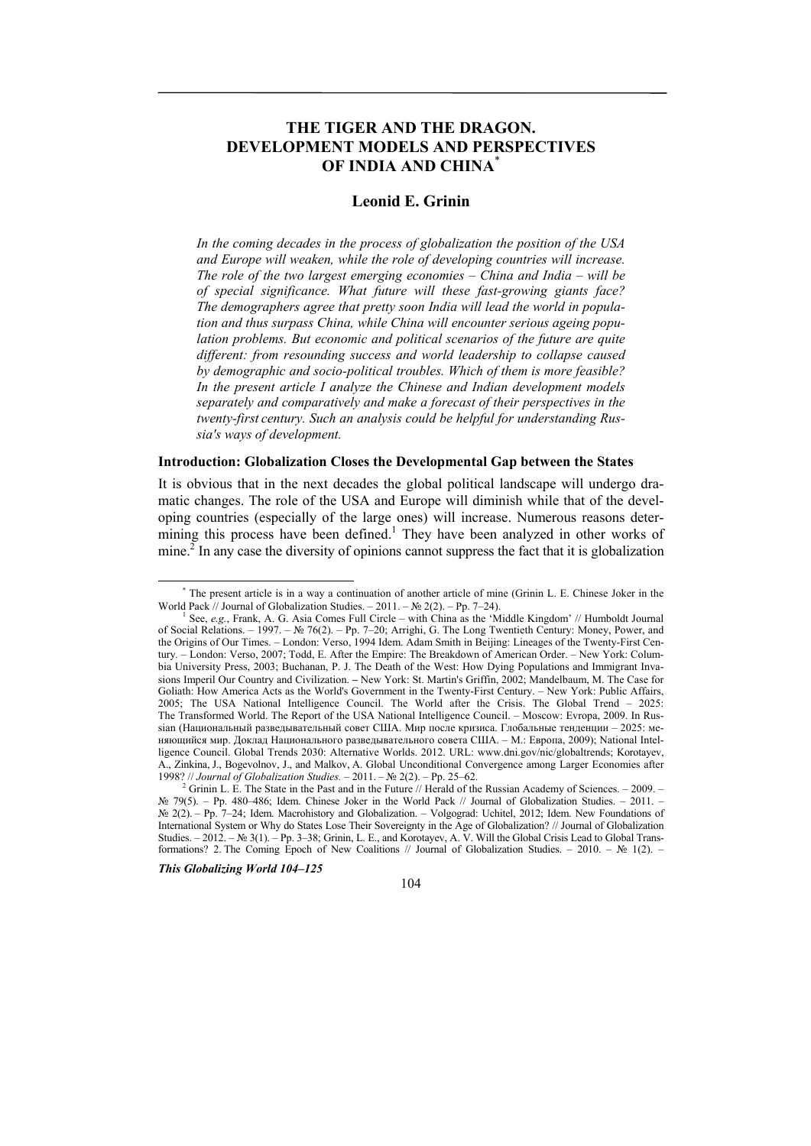# **THE TIGER AND THE DRAGON. DEVELOPMENT MODELS AND PERSPECTIVES OF INDIA AND CHINA**\*

## **Leonid E. Grinin**

*In the coming decades in the process of globalization the position of the USA and Europe will weaken, while the role of developing countries will increase. The role of the two largest emerging economies – China and India – will be of special significance. What future will these fast-growing giants face? The demographers agree that pretty soon India will lead the world in population and thus surpass China, while China will encounter serious ageing population problems. But economic and political scenarios of the future are quite different: from resounding success and world leadership to collapse caused by demographic and socio-political troubles. Which of them is more feasible? In the present article I analyze the Chinese and Indian development models separately and comparatively and make a forecast of their perspectives in the twenty-first century. Such an analysis could be helpful for understanding Russia's ways of development.* 

## **Introduction: Globalization Closes the Developmental Gap between the States**

It is obvious that in the next decades the global political landscape will undergo dramatic changes. The role of the USA and Europe will diminish while that of the developing countries (especially of the large ones) will increase. Numerous reasons determining this process have been defined.<sup>1</sup> They have been analyzed in other works of mine.<sup>2</sup> In any case the diversity of opinions cannot suppress the fact that it is globalization

*This Globalizing World 104–125* 

104

 <sup>\*</sup> The present article is in a way a continuation of another article of mine (Grinin L. E. Chinese Joker in the World Pack // Journal of Globalization Studies. – 2011. – № 2(2). – Pp. 7–24).

<sup>&</sup>lt;sup>1</sup> See, *e.g.*, Frank, A. G. Asia Comes Full Circle – with China as the 'Middle Kingdom' // Humboldt Journal of Social Relations. – 1997. – № 76(2). – Pp. 7–20; Arrighi, G. The Long Twentieth Century: Money, Power, and the Origins of Our Times. – London: Verso, 1994 Idem. Adam Smith in Beijing: Lineages of the Twenty-First Century*. –* London: Verso, 2007; Todd, E. After the Empire: The Breakdown of American Order. – New York: Columbia University Press, 2003; Buchanan, P. J. The Death of the West: How Dying Populations and Immigrant Invasions Imperil Our Country and Civilization. **–** New York: St. Martin's Griffin, 2002; Mandelbaum, M. The Case for Goliath: How America Acts as the World's Government in the Twenty-First Century. – New York: Public Affairs, 2005; The USA National Intelligence Council. The World after the Crisis. The Global Trend – 2025: The Transformed World. The Report of the USA National Intelligence Council. – Moscow: Evropa, 2009. In Russian (Национальный разведывательный совет США. Мир после кризиса. Глобальные тенденции – 2025: меняющийся мир. Доклад Национального разведывательного совета США. – М.: Европа, 2009); National Intelligence Council. Global Trends 2030: Alternative Worlds. 2012. URL: www.dni.gov/nic/globaltrends; Korotayev, A., Zinkina, J., Bogevolnov, J., and Malkov, A. Global Unconditional Convergence among Larger Economies after 1998? // *Journal of Globalization Studies. –* 2011. – № 2(2). – Pp. 25–62. 2

Grinin L. E. The State in the Past and in the Future // Herald of the Russian Academy of Sciences. - 2009. -№ 79(5). – Pp. 480–486; Idem. Chinese Joker in the World Pack // Journal of Globalization Studies. – 2011. – № 2(2). – Pp. 7–24; Idem. Macrohistory and Globalization. – Volgograd: Uchitel, 2012; Idem. New Foundations of International System or Why do States Lose Their Sovereignty in the Age of Globalization? // Journal of Globalization Studies. – 2012. – № 3(1). – Pp. 3–38; Grinin, L. E., and Korotayev, A. V. Will the Global Crisis Lead to Global Transformations? 2. The Coming Epoch of New Coalitions // Journal of Globalization Studies. – 2010. – № 1(2). –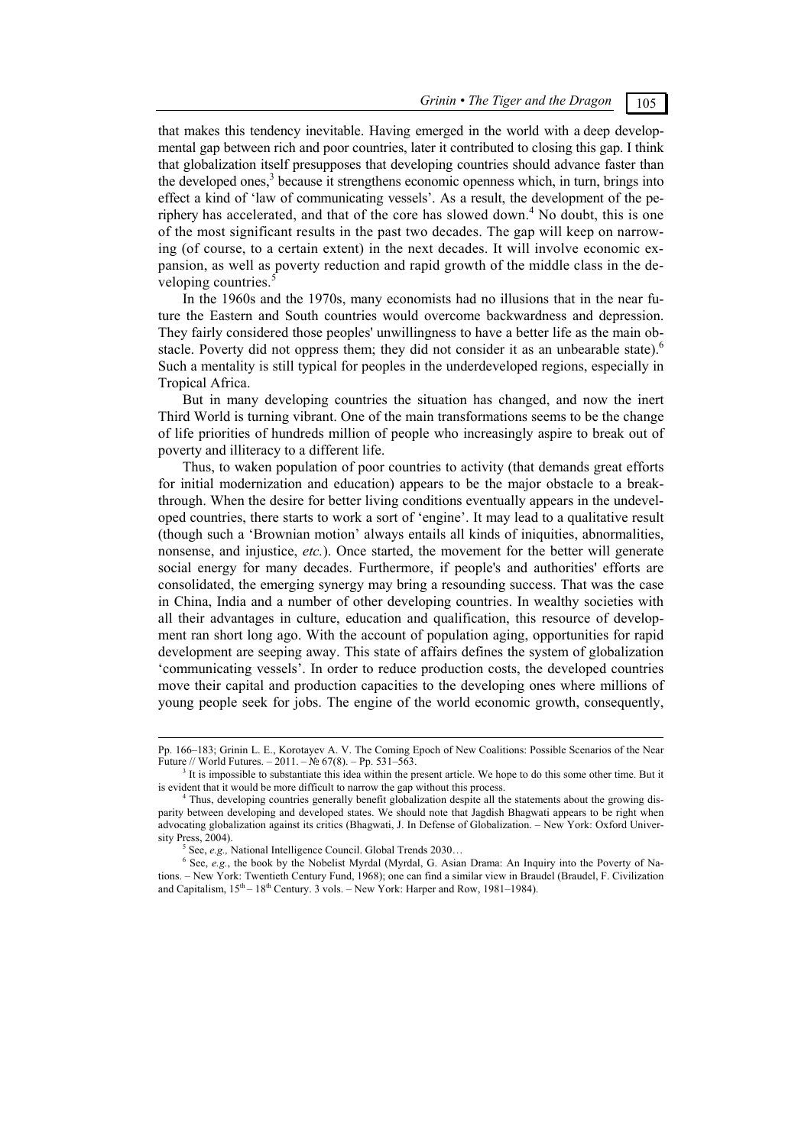that makes this tendency inevitable. Having emerged in the world with a deep developmental gap between rich and poor countries, later it contributed to closing this gap. I think that globalization itself presupposes that developing countries should advance faster than the developed ones, $3$  because it strengthens economic openness which, in turn, brings into effect a kind of 'law of communicating vessels'. As a result, the development of the periphery has accelerated, and that of the core has slowed down.<sup>4</sup> No doubt, this is one of the most significant results in the past two decades. The gap will keep on narrowing (of course, to a certain extent) in the next decades. It will involve economic expansion, as well as poverty reduction and rapid growth of the middle class in the developing countries.<sup>5</sup>

In the 1960s and the 1970s, many economists had no illusions that in the near future the Eastern and South countries would overcome backwardness and depression. They fairly considered those peoples' unwillingness to have a better life as the main obstacle. Poverty did not oppress them; they did not consider it as an unbearable state).<sup>6</sup> Such a mentality is still typical for peoples in the underdeveloped regions, especially in Tropical Africa.

But in many developing countries the situation has changed, and now the inert Third World is turning vibrant. One of the main transformations seems to be the change of life priorities of hundreds million of people who increasingly aspire to break out of poverty and illiteracy to a different life.

Thus, to waken population of poor countries to activity (that demands great efforts for initial modernization and education) appears to be the major obstacle to a breakthrough. When the desire for better living conditions eventually appears in the undeveloped countries, there starts to work a sort of 'engine'. It may lead to a qualitative result (though such a 'Brownian motion' always entails all kinds of iniquities, abnormalities, nonsense, and injustice, *etc.*). Once started, the movement for the better will generate social energy for many decades. Furthermore, if people's and authorities' efforts are consolidated, the emerging synergy may bring a resounding success. That was the case in China, India and a number of other developing countries. In wealthy societies with all their advantages in culture, education and qualification, this resource of development ran short long ago. With the account of population aging, opportunities for rapid development are seeping away. This state of affairs defines the system of globalization 'communicating vessels'. In order to reduce production costs, the developed countries move their capital and production capacities to the developing ones where millions of young people seek for jobs. The engine of the world economic growth, consequently,

Pp. 166–183; Grinin L. E., Korotayev A. V. The Coming Epoch of New Coalitions: Possible Scenarios of the Near Future // World Futures. – 2011. – № 67(8). – Pp. 531–563.

 $<sup>3</sup>$  It is impossible to substantiate this idea within the present article. We hope to do this some other time. But it</sup> is evident that it would be more difficult to narrow the gap without this process. 4

<sup>&</sup>lt;sup>4</sup> Thus, developing countries generally benefit globalization despite all the statements about the growing disparity between developing and developed states. We should note that Jagdish Bhagwati appears to be right when advocating globalization against its critics (Bhagwati, J. In Defense of Globalization. – New York: Oxford Univer $s$ ity Press, 2004).

See, *e.g.*, National Intelligence Council. Global Trends 2030...

<sup>&</sup>lt;sup>6</sup> See, *e.g.*, the book by the Nobelist Myrdal (Myrdal, G. Asian Drama: An Inquiry into the Poverty of Nations. – New York: Twentieth Century Fund, 1968); one can find a similar view in Braudel (Braudel, F. Civilization and Capitalism,  $15<sup>th</sup> - 18<sup>th</sup>$  Century. 3 vols. – New York: Harper and Row, 1981–1984).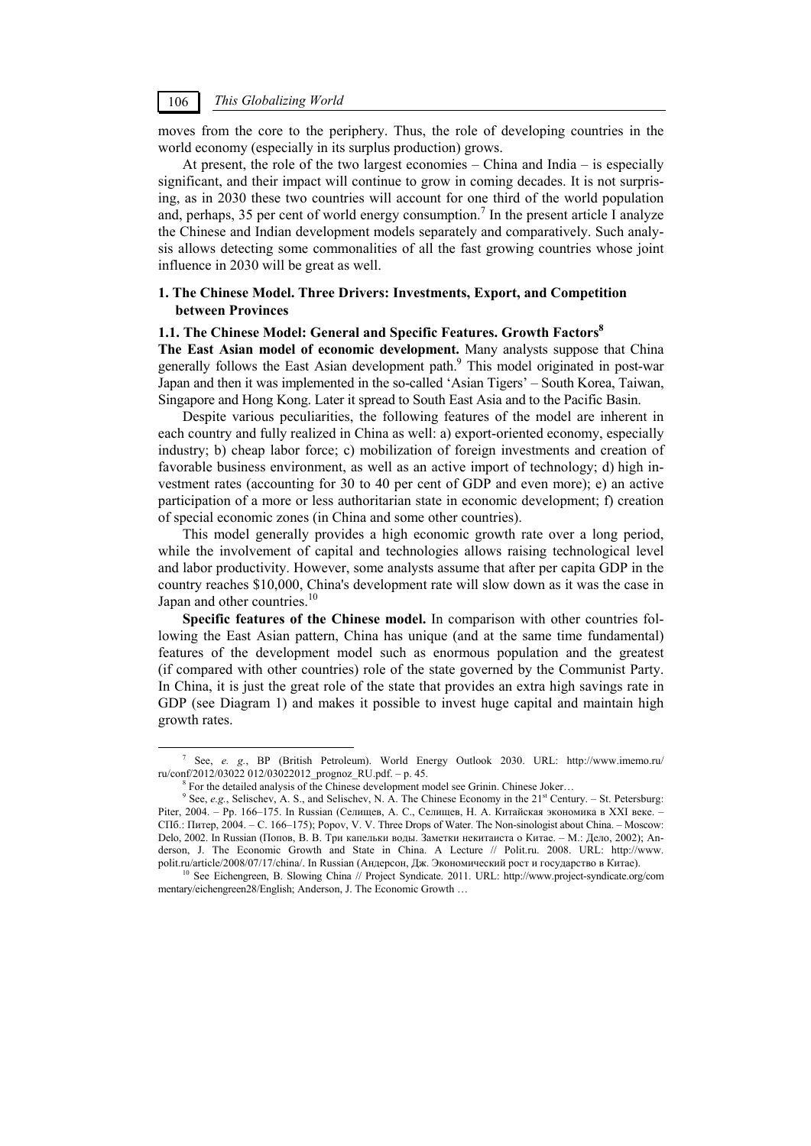moves from the core to the periphery. Thus, the role of developing countries in the world economy (especially in its surplus production) grows.

At present, the role of the two largest economies – China and India – is especially significant, and their impact will continue to grow in coming decades. It is not surprising, as in 2030 these two countries will account for one third of the world population and, perhaps, 35 per cent of world energy consumption.<sup>7</sup> In the present article I analyze the Chinese and Indian development models separately and comparatively. Such analysis allows detecting some commonalities of all the fast growing countries whose joint influence in 2030 will be great as well.

## **1. The Chinese Model. Three Drivers: Investments, Export, and Competition between Provinces**

#### **1.1. The Chinese Model: General and Specific Features. Growth Factors8**

**The East Asian model of economic development.** Many analysts suppose that China generally follows the East Asian development path.<sup>9</sup> This model originated in post-war Japan and then it was implemented in the so-called 'Asian Tigers' – South Korea, Taiwan, Singapore and Hong Kong. Later it spread to South East Asia and to the Pacific Basin.

Despite various peculiarities, the following features of the model are inherent in each country and fully realized in China as well: a) export-oriented economy, especially industry; b) cheap labor force; c) mobilization of foreign investments and creation of favorable business environment, as well as an active import of technology; d) high investment rates (accounting for 30 to 40 per cent of GDP and even more); e) an active participation of a more or less authoritarian state in economic development; f) creation of special economic zones (in China and some other countries).

This model generally provides a high economic growth rate over a long period, while the involvement of capital and technologies allows raising technological level and labor productivity. However, some analysts assume that after per capita GDP in the country reaches \$10,000, China's development rate will slow down as it was the case in Japan and other countries.<sup>10</sup>

**Specific features of the Chinese model.** In comparison with other countries following the East Asian pattern, China has unique (and at the same time fundamental) features of the development model such as enormous population and the greatest (if compared with other countries) role of the state governed by the Communist Party. In China, it is just the great role of the state that provides an extra high savings rate in GDP (see Diagram 1) and makes it possible to invest huge capital and maintain high growth rates.

 $\frac{1}{7}$  See, *e. g.*, BP (British Petroleum). World Energy Outlook 2030. URL: http://www.imemo.ru/ ru/conf/2012/03022 012/03022012\_prognoz\_RU.pdf. – p. 45. 8

For the detailed analysis of the Chinese development model see Grinin. Chinese Joker...

<sup>&</sup>lt;sup>9</sup> See, *e.g.*, Selischev, A. S., and Selischev, N. A. The Chinese Economy in the 21<sup>st</sup> Century. – St. Petersburg: Piter, 2004. – Pp. 166–175. In Russian (Селищев, А. С., Селищев, Н. А. Китайская экономика в XXI веке. – СПб.: Питер, 2004. – C. 166–175); Popov, V. V. Three Drops of Water. The Non-sinologist about China. – Moscow: Delo, 2002. In Russian (Попов, В. В. Три капельки воды. Заметки некитаиста о Китае. – М.: Дело, 2002); Anderson, J. The Economic Growth and State in China. A Lecture // Polit.ru. 2008. URL: http://www.<br>polit.ru/article/2008/07/17/china/. In Russian (Андерсон, Дж. Экономический рост и государство в Китае).

<sup>&</sup>lt;sup>10</sup> See Eichengreen, B. Slowing China // Project Syndicate. 2011. URL: http://www.project-syndicate.org/com mentary/eichengreen28/English; Anderson, J. The Economic Growth …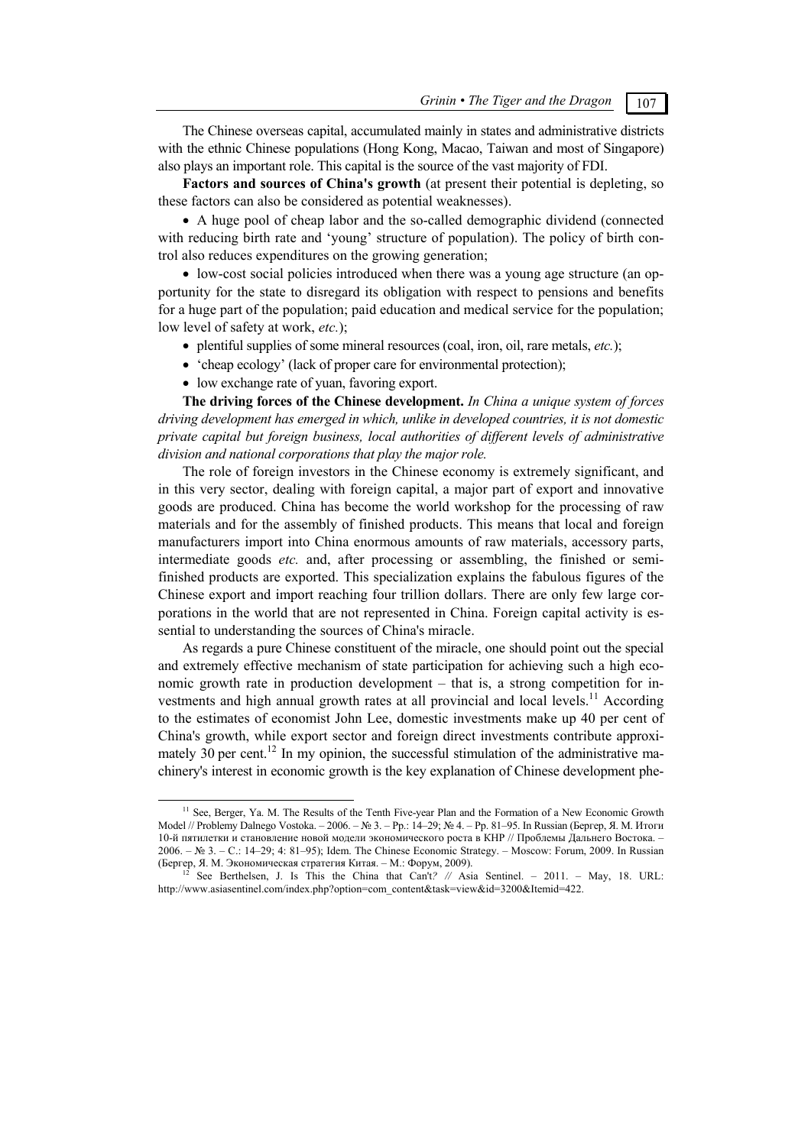The Chinese overseas capital, accumulated mainly in states and administrative districts with the ethnic Chinese populations (Hong Kong, Macao, Taiwan and most of Singapore) also plays an important role. This capital is the source of the vast majority of FDI.

**Factors and sources of China's growth** (at present their potential is depleting, so these factors can also be considered as potential weaknesses).

 A huge pool of cheap labor and the so-called demographic dividend (connected with reducing birth rate and 'young' structure of population). The policy of birth control also reduces expenditures on the growing generation;

 low-cost social policies introduced when there was a young age structure (an opportunity for the state to disregard its obligation with respect to pensions and benefits for a huge part of the population; paid education and medical service for the population; low level of safety at work, *etc.*);

- plentiful supplies of some mineral resources (coal, iron, oil, rare metals, *etc.*);
- 'cheap ecology' (lack of proper care for environmental protection);
- low exchange rate of yuan, favoring export.

**The driving forces of the Chinese development.** *In China a unique system of forces driving development has emerged in which, unlike in developed countries, it is not domestic private capital but foreign business, local authorities of different levels of administrative division and national corporations that play the major role.* 

The role of foreign investors in the Chinese economy is extremely significant, and in this very sector, dealing with foreign capital, a major part of export and innovative goods are produced. China has become the world workshop for the processing of raw materials and for the assembly of finished products. This means that local and foreign manufacturers import into China enormous amounts of raw materials, accessory parts, intermediate goods *etc.* and, after processing or assembling, the finished or semifinished products are exported. This specialization explains the fabulous figures of the Chinese export and import reaching four trillion dollars. There are only few large corporations in the world that are not represented in China. Foreign capital activity is essential to understanding the sources of China's miracle.

As regards a pure Chinese constituent of the miracle, one should point out the special and extremely effective mechanism of state participation for achieving such a high economic growth rate in production development – that is, a strong competition for investments and high annual growth rates at all provincial and local levels.<sup>11</sup> According to the estimates of economist John Lee, domestic investments make up 40 per cent of China's growth, while export sector and foreign direct investments contribute approximately 30 per cent.<sup>12</sup> In my opinion, the successful stimulation of the administrative machinery's interest in economic growth is the key explanation of Chinese development phe-

<sup>&</sup>lt;sup>11</sup> See, Berger, Ya. M. The Results of the Tenth Five-year Plan and the Formation of a New Economic Growth Model // Problemy Dalnego Vostoka. – 2006. – № 3. – Pp.: 14–29; № 4. – Pp. 81–95. In Russian (Бергер, Я. М. Итоги 10-й пятилетки и становление новой модели экономического роста в КНР // Проблемы Дальнего Востока. – 2006. – № 3. – C.: 14–29; 4: 81–95); Idem. The Chinese Economic Strategy. – Moscow: Forum, 2009. In Russian (Бергер, Я. М. Экономическая стратегия Китая. – М.: Форум, 2009). 12 See Berthelsen, J. Is This the China that Can't*? //* Asia Sentinel. *–* 2011. – May, 18. URL:

http://www.asiasentinel.com/index.php?option=com\_content&task=view&id=3200&Itemid=422.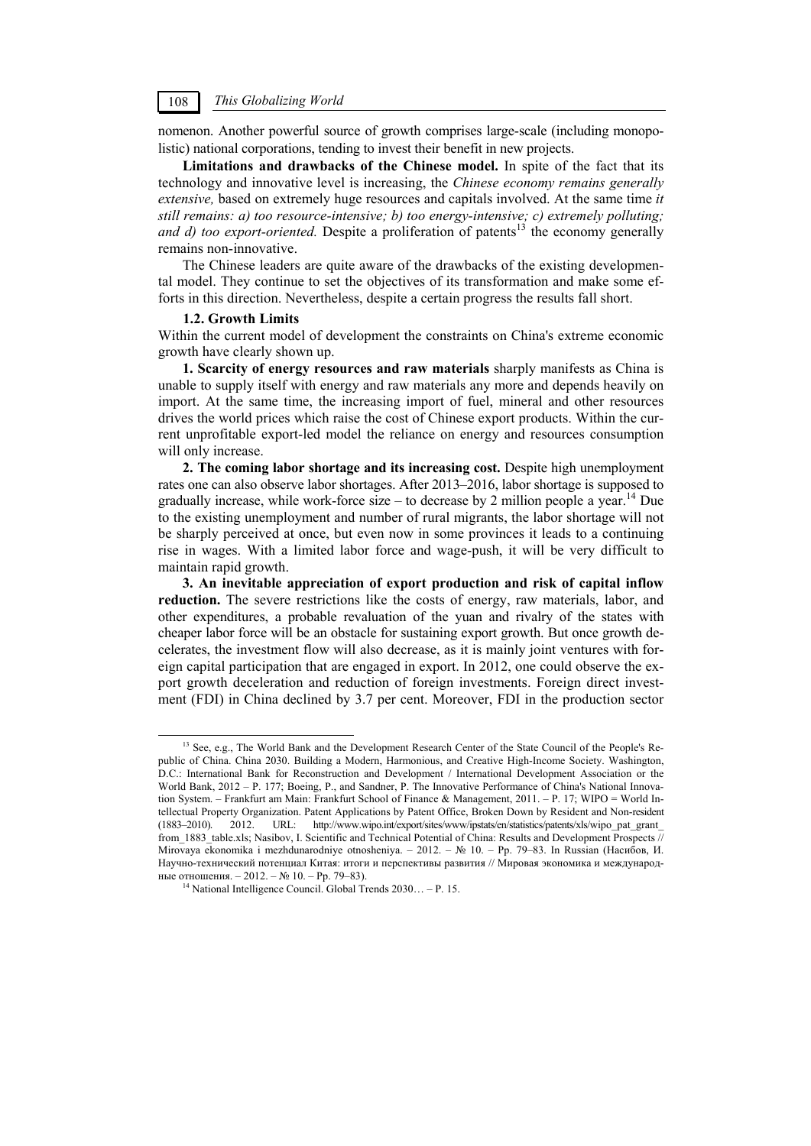nomenon. Another powerful source of growth comprises large-scale (including monopolistic) national corporations, tending to invest their benefit in new projects.

**Limitations and drawbacks of the Chinese model.** In spite of the fact that its technology and innovative level is increasing, the *Chinese economy remains generally extensive,* based on extremely huge resources and capitals involved. At the same time *it still remains: a) too resource-intensive; b) too energy-intensive; c) extremely polluting; and d) too export-oriented.* Despite a proliferation of patents<sup>13</sup> the economy generally remains non-innovative.

The Chinese leaders are quite aware of the drawbacks of the existing developmental model. They continue to set the objectives of its transformation and make some efforts in this direction. Nevertheless, despite a certain progress the results fall short.

### **1.2. Growth Limits**

Within the current model of development the constraints on China's extreme economic growth have clearly shown up.

**1. Scarcity of energy resources and raw materials** sharply manifests as China is unable to supply itself with energy and raw materials any more and depends heavily on import. At the same time, the increasing import of fuel, mineral and other resources drives the world prices which raise the cost of Chinese export products. Within the current unprofitable export-led model the reliance on energy and resources consumption will only increase.

**2. The coming labor shortage and its increasing cost.** Despite high unemployment rates one can also observe labor shortages. After 2013–2016, labor shortage is supposed to gradually increase, while work-force size – to decrease by 2 million people a year.<sup>14</sup> Due to the existing unemployment and number of rural migrants, the labor shortage will not be sharply perceived at once, but even now in some provinces it leads to a continuing rise in wages. With a limited labor force and wage-push, it will be very difficult to maintain rapid growth.

**3. An inevitable appreciation of export production and risk of capital inflow reduction.** The severe restrictions like the costs of energy, raw materials, labor, and other expenditures, a probable revaluation of the yuan and rivalry of the states with cheaper labor force will be an obstacle for sustaining export growth. But once growth decelerates, the investment flow will also decrease, as it is mainly joint ventures with foreign capital participation that are engaged in export. In 2012, one could observe the export growth deceleration and reduction of foreign investments. Foreign direct investment (FDI) in China declined by 3.7 per cent. Moreover, FDI in the production sector

<sup>&</sup>lt;sup>13</sup> See, e.g., The World Bank and the Development Research Center of the State Council of the People's Republic of China. China 2030. Building a Modern, Harmonious, and Creative High-Income Society. Washington, D.C.: International Bank for Reconstruction and Development / International Development Association or the World Bank, 2012 – P. 177; Boeing, P., and Sandner, P. The Innovative Performance of China's National Innovation System. – Frankfurt am Main: Frankfurt School of Finance & Management, 2011. – P. 17; WIPO = World Intellectual Property Organization. Patent Applications by Patent Office, Broken Down by Resident and Non-resident (1883–2010). 2012. URL: http://www.wipo.int/export/sites/www/ipstats/en/statistics/patents/xls/wipo\_pat\_grant\_ from 1883 table.xls; Nasibov, I. Scientific and Technical Potential of China: Results and Development Prospects  $\mathbb{Z}$ Mirovaya ekonomika i mezhdunarodniye otnosheniya. – 2012. – № 10. – Pp. 79–83. In Russian (Насибов, И. Научно-технический потенциал Китая: итоги и перспективы развития // Мировая экономика и международные отношения. – 2012. – № 10. – Pp. 79–83). 14 National Intelligence Council. Global Trends 2030… – P. 15.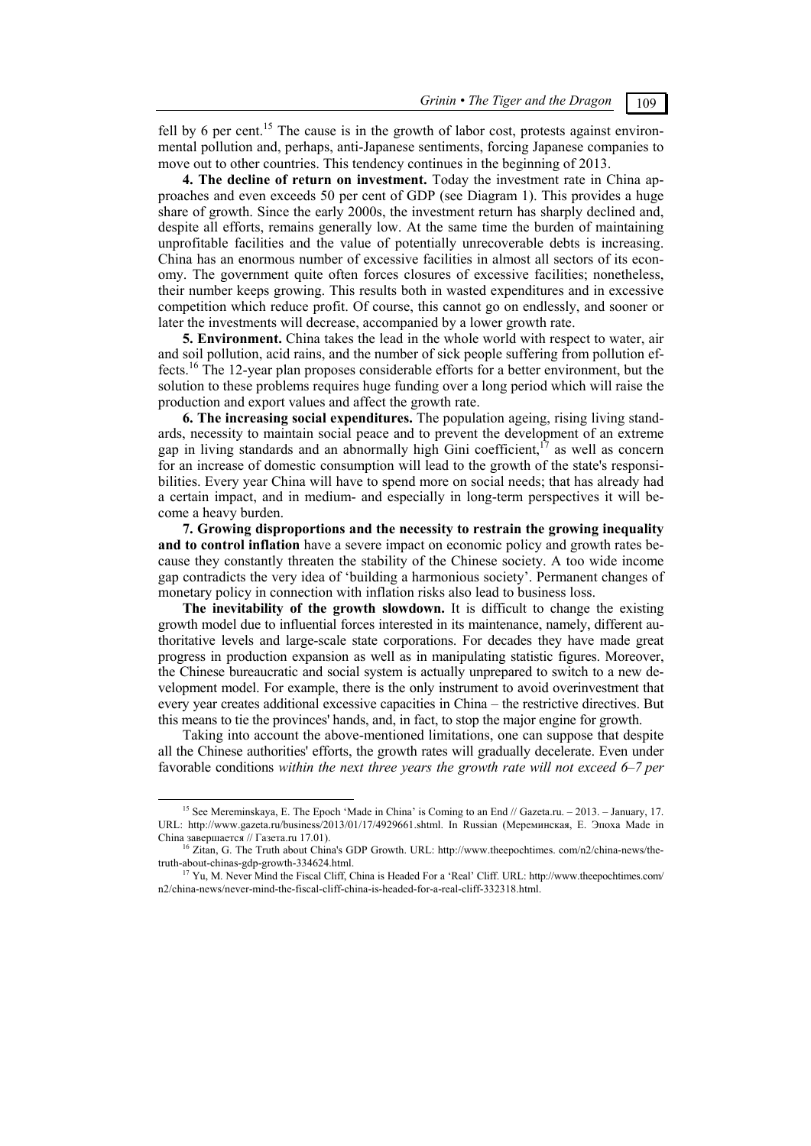fell by 6 per cent.<sup>15</sup> The cause is in the growth of labor cost, protests against environmental pollution and, perhaps, anti-Japanese sentiments, forcing Japanese companies to move out to other countries. This tendency continues in the beginning of 2013.

**4. The decline of return on investment.** Today the investment rate in China approaches and even exceeds 50 per cent of GDP (see Diagram 1). This provides a huge share of growth. Since the early 2000s, the investment return has sharply declined and, despite all efforts, remains generally low. At the same time the burden of maintaining unprofitable facilities and the value of potentially unrecoverable debts is increasing. China has an enormous number of excessive facilities in almost all sectors of its economy. The government quite often forces closures of excessive facilities; nonetheless, their number keeps growing. This results both in wasted expenditures and in excessive competition which reduce profit. Of course, this cannot go on endlessly, and sooner or later the investments will decrease, accompanied by a lower growth rate.

**5. Environment.** China takes the lead in the whole world with respect to water, air and soil pollution, acid rains, and the number of sick people suffering from pollution effects.16 The 12-year plan proposes considerable efforts for a better environment, but the solution to these problems requires huge funding over a long period which will raise the production and export values and affect the growth rate.

**6. The increasing social expenditures.** The population ageing, rising living standards, necessity to maintain social peace and to prevent the development of an extreme gap in living standards and an abnormally high Gini coefficient, $17$  as well as concern for an increase of domestic consumption will lead to the growth of the state's responsibilities. Every year China will have to spend more on social needs; that has already had a certain impact, and in medium- and especially in long-term perspectives it will become a heavy burden.

**7. Growing disproportions and the necessity to restrain the growing inequality and to control inflation** have a severe impact on economic policy and growth rates because they constantly threaten the stability of the Chinese society. A too wide income gap contradicts the very idea of 'building a harmonious society'. Permanent changes of monetary policy in connection with inflation risks also lead to business loss.

**The inevitability of the growth slowdown.** It is difficult to change the existing growth model due to influential forces interested in its maintenance, namely, different authoritative levels and large-scale state corporations. For decades they have made great progress in production expansion as well as in manipulating statistic figures. Moreover, the Chinese bureaucratic and social system is actually unprepared to switch to a new development model. For example, there is the only instrument to avoid overinvestment that every year creates additional excessive capacities in China – the restrictive directives. But this means to tie the provinces' hands, and, in fact, to stop the major engine for growth.

Taking into account the above-mentioned limitations, one can suppose that despite all the Chinese authorities' efforts, the growth rates will gradually decelerate. Even under favorable conditions *within the next three years the growth rate will not exceed 6–7 per* 

<sup>&</sup>lt;sup>15</sup> See Mereminskaya, E. The Epoch 'Made in China' is Coming to an End // Gazeta.ru. – 2013. – January, 17. URL: http://www.gazeta.ru/business/2013/01/17/4929661.shtml. In Russian (Мереминская, E. Эпоха Made in

China завершается // Газета.ru 17.01).<br><sup>16</sup> Zitan, G. The Truth about China's GDP Growth. URL: http://www.theepochtimes. com/n2/china-news/the-<br>truth-about-chinas-gdp-growth-334624.html.<br><sup>17</sup> V<sub>1</sub>, M. Nover Mind the Figur

Yu, M. Never Mind the Fiscal Cliff, China is Headed For a 'Real' Cliff. URL: http://www.theepochtimes.com/ n2/china-news/never-mind-the-fiscal-cliff-china-is-headed-for-a-real-cliff-332318.html.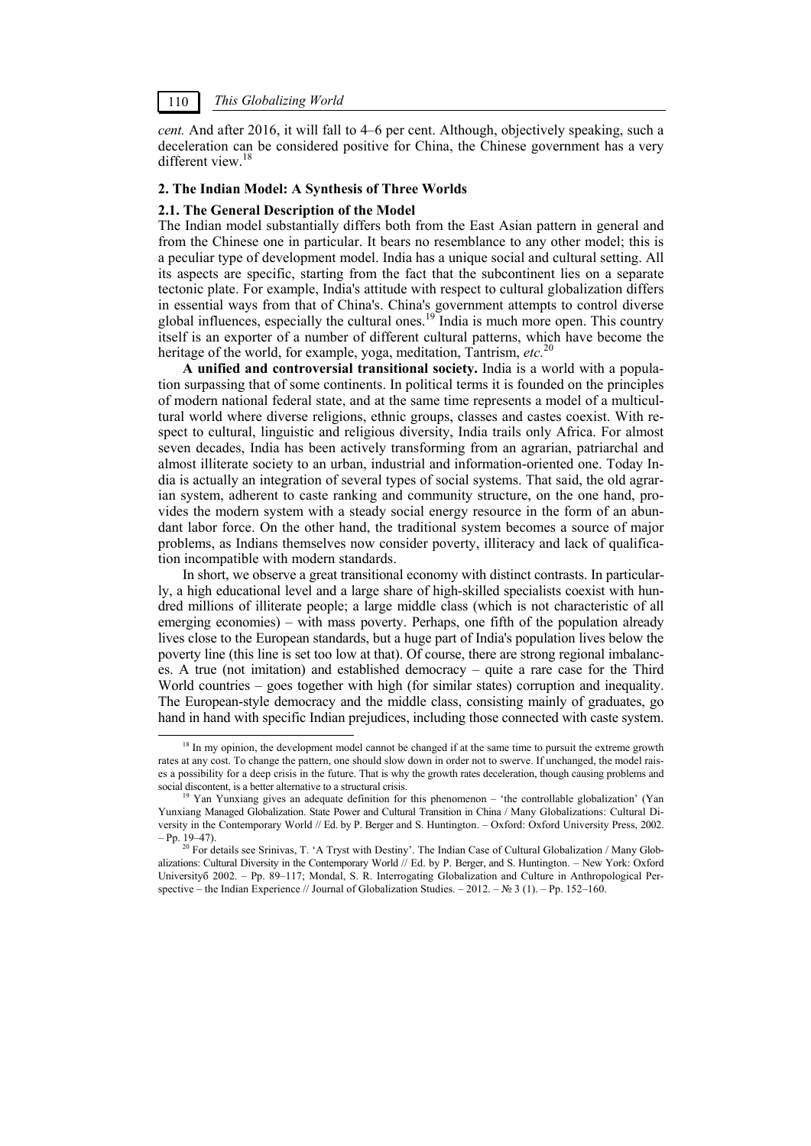*cent.* And after 2016, it will fall to 4–6 per cent. Although, objectively speaking, such a deceleration can be considered positive for China, the Chinese government has a very different view.18

#### **2. The Indian Model: A Synthesis of Three Worlds**

#### **2.1. The General Description of the Model**

The Indian model substantially differs both from the East Asian pattern in general and from the Chinese one in particular. It bears no resemblance to any other model; this is a peculiar type of development model. India has a unique social and cultural setting. All its aspects are specific, starting from the fact that the subcontinent lies on a separate tectonic plate. For example, India's attitude with respect to cultural globalization differs in essential ways from that of China's. China's government attempts to control diverse global influences, especially the cultural ones.<sup>19</sup> India is much more open. This country itself is an exporter of a number of different cultural patterns, which have become the heritage of the world, for example, yoga, meditation, Tantrism, *etc.*<sup>20</sup>

**A unified and controversial transitional society.** India is a world with a population surpassing that of some continents. In political terms it is founded on the principles of modern national federal state, and at the same time represents a model of a multicultural world where diverse religions, ethnic groups, classes and castes coexist. With respect to cultural, linguistic and religious diversity, India trails only Africa. For almost seven decades, India has been actively transforming from an agrarian, patriarchal and almost illiterate society to an urban, industrial and information-oriented one. Today India is actually an integration of several types of social systems. That said, the old agrarian system, adherent to caste ranking and community structure, on the one hand, provides the modern system with a steady social energy resource in the form of an abundant labor force. On the other hand, the traditional system becomes a source of major problems, as Indians themselves now consider poverty, illiteracy and lack of qualification incompatible with modern standards.

In short, we observe a great transitional economy with distinct contrasts. In particularly, a high educational level and a large share of high-skilled specialists coexist with hundred millions of illiterate people; a large middle class (which is not characteristic of all emerging economies) – with mass poverty. Perhaps, one fifth of the population already lives close to the European standards, but a huge part of India's population lives below the poverty line (this line is set too low at that). Of course, there are strong regional imbalances. A true (not imitation) and established democracy – quite a rare case for the Third World countries – goes together with high (for similar states) corruption and inequality. The European-style democracy and the middle class, consisting mainly of graduates, go hand in hand with specific Indian prejudices, including those connected with caste system.

<sup>&</sup>lt;sup>18</sup> In my opinion, the development model cannot be changed if at the same time to pursuit the extreme growth rates at any cost. To change the pattern, one should slow down in order not to swerve. If unchanged, the model raises a possibility for a deep crisis in the future. That is why the growth rates deceleration, though causing problems and social discontent, is a better alternative to a structural crisis.<br><sup>19</sup> Yan Yunxiang gives an adequate definition for this phenomenon – 'the controllable globalization' (Yan

Yunxiang Managed Globalization. State Power and Cultural Transition in China / Many Globalizations: Cultural Diversity in the Contemporary World // Ed. by P. Berger and S. Huntington. – Oxford: Oxford University Press, 2002.

<sup>&</sup>lt;sup>20</sup> For details see Srinivas, T. 'A Tryst with Destiny'. The Indian Case of Cultural Globalization / Many Globalizations: Cultural Diversity in the Contemporary World // Ed. by P. Berger, and S. Huntington. – New York: Oxford Universityб 2002. – Pp. 89–117; Mondal, S. R. Interrogating Globalization and Culture in Anthropological Perspective – the Indian Experience // Journal of Globalization Studies. – 2012. – № 3 (1). – Pp. 152–160.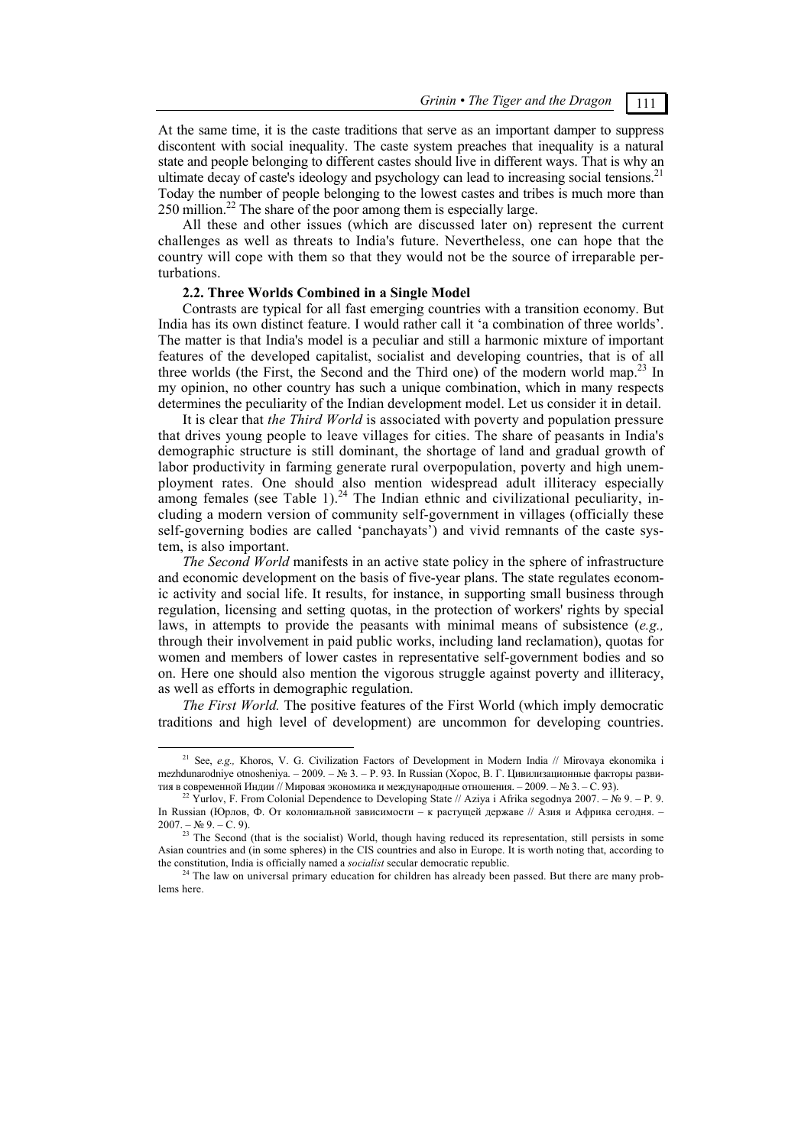At the same time, it is the caste traditions that serve as an important damper to suppress discontent with social inequality. The caste system preaches that inequality is a natural state and people belonging to different castes should live in different ways. That is why an ultimate decay of caste's ideology and psychology can lead to increasing social tensions.<sup>21</sup> Today the number of people belonging to the lowest castes and tribes is much more than 250 million.22 The share of the poor among them is especially large.

All these and other issues (which are discussed later on) represent the current challenges as well as threats to India's future. Nevertheless, one can hope that the country will cope with them so that they would not be the source of irreparable perturbations.

#### **2.2. Three Worlds Combined in a Single Model**

Contrasts are typical for all fast emerging countries with a transition economy. But India has its own distinct feature. I would rather call it 'a combination of three worlds'. The matter is that India's model is a peculiar and still a harmonic mixture of important features of the developed capitalist, socialist and developing countries, that is of all three worlds (the First, the Second and the Third one) of the modern world map.<sup>23</sup> In my opinion, no other country has such a unique combination, which in many respects determines the peculiarity of the Indian development model. Let us consider it in detail.

It is clear that *the Third World* is associated with poverty and population pressure that drives young people to leave villages for cities. The share of peasants in India's demographic structure is still dominant, the shortage of land and gradual growth of labor productivity in farming generate rural overpopulation, poverty and high unemployment rates. One should also mention widespread adult illiteracy especially among females (see Table 1). $^{24}$  The Indian ethnic and civilizational peculiarity, including a modern version of community self-government in villages (officially these self-governing bodies are called 'panchayats') and vivid remnants of the caste system, is also important.

*The Second World* manifests in an active state policy in the sphere of infrastructure and economic development on the basis of five-year plans. The state regulates economic activity and social life. It results, for instance, in supporting small business through regulation, licensing and setting quotas, in the protection of workers' rights by special laws, in attempts to provide the peasants with minimal means of subsistence (*e.g.,* through their involvement in paid public works, including land reclamation), quotas for women and members of lower castes in representative self-government bodies and so on. Here one should also mention the vigorous struggle against poverty and illiteracy, as well as efforts in demographic regulation.

*The First World.* The positive features of the First World (which imply democratic traditions and high level of development) are uncommon for developing countries.

 <sup>21</sup> See, *e.g.,* Khoros, V. G. Civilization Factors of Development in Modern India // Mirovaya ekonomika i mezhdunarodniye otnosheniya. – 2009. – № 3. – P. 93. In Russian (Хорос, В. Г. Цивилизационные факторы развития в современной Индии // Мировая экономика и международные отношения. – 2009. – № 3. – С. 93).<br><sup>22</sup> Yurlov, F. From Colonial Dependence to Developing State // Aziya i Afrika segodnya 2007. – № 9. – P. 9.

In Russian (Юрлов, Ф. От колониальной зависимости – к растущей державе // Азия и Африка сегодня. – 2007. – № 9. – C. 9).<br><sup>23</sup> The Second (that is the socialist) World, though having reduced its representation, still persists in some

Asian countries and (in some spheres) in the CIS countries and also in Europe. It is worth noting that, according to the constitution, India is officially named a *socialist* secular democratic republic.

<sup>&</sup>lt;sup>24</sup> The law on universal primary education for children has already been passed. But there are many problems here.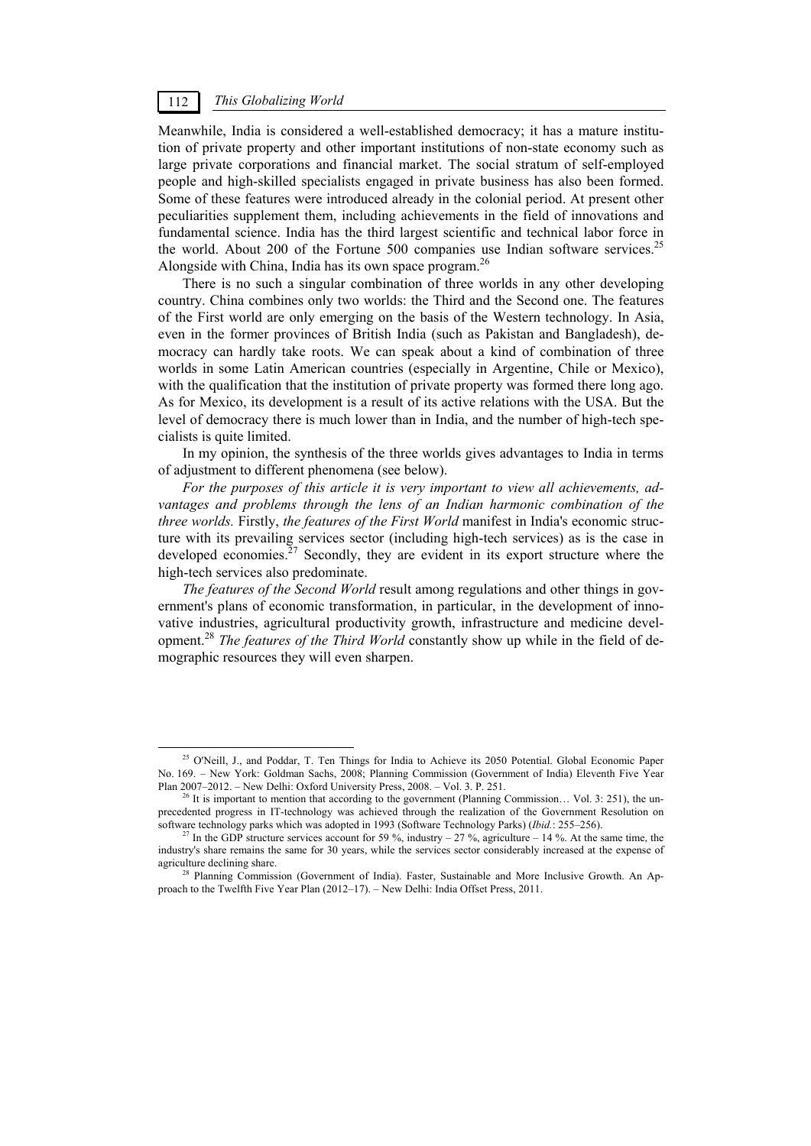Meanwhile, India is considered a well-established democracy; it has a mature institution of private property and other important institutions of non-state economy such as large private corporations and financial market. The social stratum of self-employed people and high-skilled specialists engaged in private business has also been formed. Some of these features were introduced already in the colonial period. At present other peculiarities supplement them, including achievements in the field of innovations and fundamental science. India has the third largest scientific and technical labor force in the world. About 200 of the Fortune 500 companies use Indian software services.<sup>25</sup> Alongside with China, India has its own space program.26

There is no such a singular combination of three worlds in any other developing country. China combines only two worlds: the Third and the Second one. The features of the First world are only emerging on the basis of the Western technology. In Asia, even in the former provinces of British India (such as Pakistan and Bangladesh), democracy can hardly take roots. We can speak about a kind of combination of three worlds in some Latin American countries (especially in Argentine, Chile or Mexico), with the qualification that the institution of private property was formed there long ago. As for Mexico, its development is a result of its active relations with the USA. But the level of democracy there is much lower than in India, and the number of high-tech specialists is quite limited.

In my opinion, the synthesis of the three worlds gives advantages to India in terms of adjustment to different phenomena (see below).

*For the purposes of this article it is very important to view all achievements, advantages and problems through the lens of an Indian harmonic combination of the three worlds.* Firstly, *the features of the First World* manifest in India's economic structure with its prevailing services sector (including high-tech services) as is the case in developed economies.<sup>27</sup> Secondly, they are evident in its export structure where the high-tech services also predominate.

*The features of the Second World* result among regulations and other things in government's plans of economic transformation, in particular, in the development of innovative industries, agricultural productivity growth, infrastructure and medicine development.<sup>28</sup> *The features of the Third World* constantly show up while in the field of demographic resources they will even sharpen.

<sup>&</sup>lt;sup>25</sup> O'Neill, J., and Poddar, T. Ten Things for India to Achieve its 2050 Potential. Global Economic Paper No. 169. – New York: Goldman Sachs, 2008; Planning Commission (Government of India) Eleventh Five Year Plan 2007–2012. – New Delhi: Oxford University Press, 2008. – Vol. 3. P. 251.<br><sup>26</sup> It is important to mention that according to the government (Planning Commission... Vol. 3: 251), the un-

precedented progress in IT-technology was achieved through the realization of the Government Resolution on software technology parks which was adopted in 1993 (Software Technology Parks) (*Ibid.*: 255–256).

<sup>&</sup>lt;sup>27</sup> In the GDP structure services account for 59 %, industry – 27 %, agriculture – 14 %. At the same time, the industry's share remains the same for 30 years, while the services sector considerably increased at the expense of agriculture declining share.<br><sup>28</sup> Planning Commission (Government of India). Faster, Sustainable and More Inclusive Growth. An Ap-

proach to the Twelfth Five Year Plan (2012–17). – New Delhi: India Offset Press, 2011.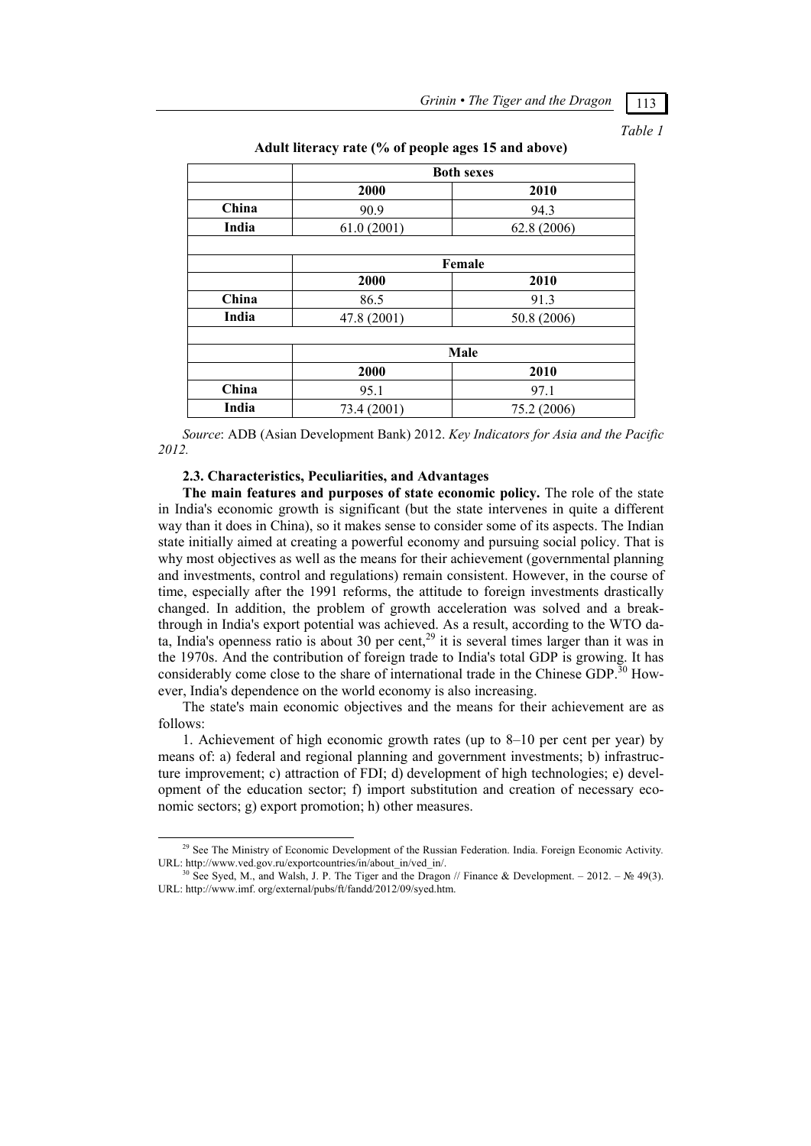*Table 1* 

|       | <b>Both sexes</b> |             |  |  |  |  |  |  |  |
|-------|-------------------|-------------|--|--|--|--|--|--|--|
|       | 2000              | 2010        |  |  |  |  |  |  |  |
| China | 90.9              | 94.3        |  |  |  |  |  |  |  |
| India | 61.0(2001)        | 62.8 (2006) |  |  |  |  |  |  |  |
|       |                   |             |  |  |  |  |  |  |  |
|       |                   | Female      |  |  |  |  |  |  |  |
|       | 2000              | 2010        |  |  |  |  |  |  |  |
| China | 86.5              | 91.3        |  |  |  |  |  |  |  |
| India | 47.8 (2001)       | 50.8 (2006) |  |  |  |  |  |  |  |
|       |                   |             |  |  |  |  |  |  |  |
|       | Male              |             |  |  |  |  |  |  |  |
|       | 2000              | 2010        |  |  |  |  |  |  |  |
| China | 95.1              | 97.1        |  |  |  |  |  |  |  |
| India | 73.4 (2001)       | 75.2 (2006) |  |  |  |  |  |  |  |

### **Adult literacy rate (% of people ages 15 and above)**

*Source*: ADB (Asian Development Bank) 2012. *Key Indicators for Asia and the Pacific 2012.* 

#### **2.3. Characteristics, Peculiarities, and Advantages**

**The main features and purposes of state economic policy.** The role of the state in India's economic growth is significant (but the state intervenes in quite a different way than it does in China), so it makes sense to consider some of its aspects. The Indian state initially aimed at creating a powerful economy and pursuing social policy. That is why most objectives as well as the means for their achievement (governmental planning and investments, control and regulations) remain consistent. However, in the course of time, especially after the 1991 reforms, the attitude to foreign investments drastically changed. In addition, the problem of growth acceleration was solved and a breakthrough in India's export potential was achieved. As a result, according to the WTO data, India's openness ratio is about 30 per cent,<sup>29</sup> it is several times larger than it was in the 1970s. And the contribution of foreign trade to India's total GDP is growing. It has considerably come close to the share of international trade in the Chinese  $GDP^{30}$  However, India's dependence on the world economy is also increasing.

The state's main economic objectives and the means for their achievement are as follows:

1. Achievement of high economic growth rates (up to 8–10 per cent per year) by means of: a) federal and regional planning and government investments; b) infrastructure improvement; c) attraction of FDI; d) development of high technologies; e) development of the education sector; f) import substitution and creation of necessary economic sectors; g) export promotion; h) other measures.

 <sup>29</sup> See The Ministry of Economic Development of the Russian Federation. India. Foreign Economic Activity*.*  URL: http://www.ved.gov.ru/exportcountries/in/about\_in/ved\_in/.<br><sup>30</sup> See Syed, M., and Walsh, J. P. The Tiger and the Dragon // Finance & Development. – 2012. – № 49(3).

URL: http://www.imf. org/external/pubs/ft/fandd/2012/09/syed.htm.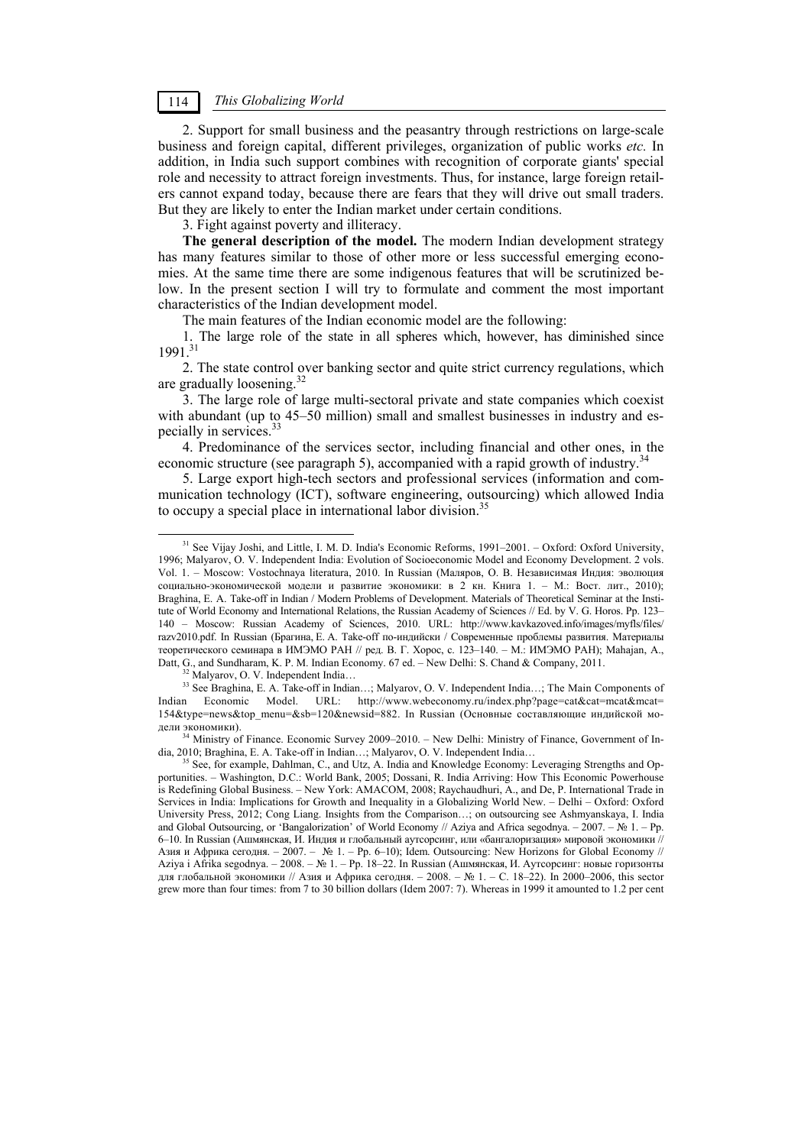2. Support for small business and the peasantry through restrictions on large-scale business and foreign capital, different privileges, organization of public works *etc.* In addition, in India such support combines with recognition of corporate giants' special role and necessity to attract foreign investments. Thus, for instance, large foreign retailers cannot expand today, because there are fears that they will drive out small traders. But they are likely to enter the Indian market under certain conditions.

3. Fight against poverty and illiteracy.

**The general description of the model.** The modern Indian development strategy has many features similar to those of other more or less successful emerging economies. At the same time there are some indigenous features that will be scrutinized below. In the present section I will try to formulate and comment the most important characteristics of the Indian development model.

The main features of the Indian economic model are the following:

1. The large role of the state in all spheres which, however, has diminished since 1991.31

2. The state control over banking sector and quite strict currency regulations, which are gradually loosening.32

3. The large role of large multi-sectoral private and state companies which coexist with abundant (up to 45–50 million) small and smallest businesses in industry and especially in services.33

4. Predominance of the services sector, including financial and other ones, in the economic structure (see paragraph 5), accompanied with a rapid growth of industry.<sup>34</sup>

5. Large export high-tech sectors and professional services (information and communication technology (ICT), software engineering, outsourcing) which allowed India to occupy a special place in international labor division.<sup>35</sup>

дели экономики).<br><sup>34</sup> Ministry of Finance. Economic Survey 2009–2010. – New Delhi: Ministry of Finance, Government of In-<br>dia, 2010; Braghina, E. A. Take-off in Indian...; Malyarov, O. V. Independent India...

<sup>&</sup>lt;sup>31</sup> See Vijay Joshi, and Little, I. M. D. India's Economic Reforms, 1991–2001. – Oxford: Oxford University, 1996; Malyarov, O. V. Independent India: Evolution of Socioeconomic Model and Economy Development. 2 vols. Vol. 1. – Мoscow: Vostochnaya literatura, 2010. In Russian (Маляров, О. В. Независимая Индия: эволюция социально-экономической модели и развитие экономики: в 2 кн. Книга 1. – М.: Вост. лит., 2010); Braghina, E. A. Take-off in Indian / Modern Problems of Development. Materials of Theoretical Seminar at the Institute of World Economy and International Relations, the Russian Academy of Sciences // Ed. by V. G. Horos. Pp. 123– 140 – Moscow: Russian Academy of Sciences, 2010. URL: http://www.kavkazoved.info/images/myfls/files/ razv2010.pdf. In Russian (Брагина, Е. А. Take-off по-индийски / Современные проблемы развития. Материалы теоретического семинара в ИМЭМО РАН // ред. В. Г. Хорос, с. 123–140. – М.: ИМЭМО РАН); Mahajan, A., Datt, G., and Sundharam, K. P. M. Indian Economy. 67 ed. – New Delhi: S. Chand & Company, 2011. <sup>32</sup> Malyarov, O. V. Independent India…

<sup>33</sup> See Braghina, E. A. Take-off in Indian…; Malyarov, O. V. Independent India…; The Main Components of Indian Economic Model. URL: http://www.webeconomy.ru/index.php?page=cat&cat=mcat&mcat= 154&type=news&top\_menu=&sb=120&newsid=882. In Russian (Основные составляющие индийской мо-

See, for example, Dahlman, C., and Utz, A. India and Knowledge Economy: Leveraging Strengths and Opportunities. – Washington, D.C.: World Bank, 2005; Dossani, R. India Arriving: How This Economic Powerhouse is Redefining Global Business. – New York: AMACOM, 2008; Raychaudhuri, A., and De, P. International Trade in Services in India: Implications for Growth and Inequality in a Globalizing World New. – Delhi – Oxford: Oxford University Press, 2012; Cong Liang. Insights from the Comparison…; on outsourcing see Ashmyanskaya, I. India and Global Outsourcing, or 'Bangalorization' of World Economy // Aziya and Africa segodnya. – 2007. – № 1. – Pp. 6–10. In Russian (Ашмянская, И. Индия и глобальный аутсорсинг, или «бангалоризация» мировой экономики // Азия и Африка сегодня. – 2007. – № 1. – Pp. 6–10); Idem. Outsourcing: New Horizons for Global Economy // Aziya i Afrika segodnya. – 2008. – № 1. – Pp. 18–22. In Russian (Ашмянская, И. Аутсорсинг: новые горизонты для глобальной экономики // Азия и Африка сегодня. – 2008. – № 1. – C. 18–22). In 2000–2006, this sector grew more than four times: from 7 to 30 billion dollars (Idem 2007: 7). Whereas in 1999 it amounted to 1.2 per cent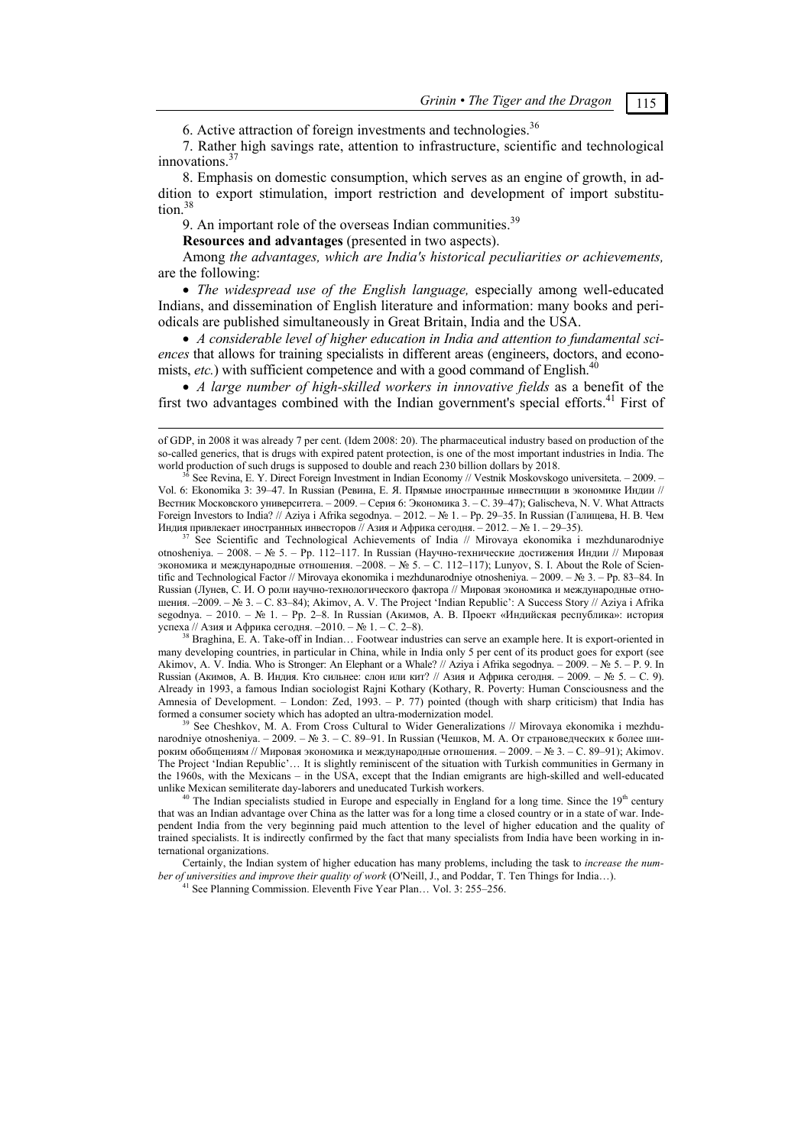6. Active attraction of foreign investments and technologies.<sup>36</sup>

7. Rather high savings rate, attention to infrastructure, scientific and technological  $innovations.<sup>3</sup>$ 

8. Emphasis on domestic consumption, which serves as an engine of growth, in addition to export stimulation, import restriction and development of import substitution.<sup>38</sup>

9. An important role of the overseas Indian communities.<sup>39</sup>

**Resources and advantages** (presented in two aspects).

Among *the advantages, which are India's historical peculiarities or achievements,* are the following:

 *The widespread use of the English language,* especially among well-educated Indians, and dissemination of English literature and information: many books and periodicals are published simultaneously in Great Britain, India and the USA.

 *A considerable level of higher education in India and attention to fundamental sciences* that allows for training specialists in different areas (engineers, doctors, and economists, *etc.*) with sufficient competence and with a good command of English.<sup>4</sup>

 *A large number of high-skilled workers in innovative fields* as a benefit of the first two advantages combined with the Indian government's special efforts.<sup>41</sup> First of

See Scientific and Technological Achievements of India // Mirovaya ekonomika i mezhdunarodniye otnosheniya. – 2008. – № 5. – Pp. 112–117. In Russian (Научно-технические достижения Индии // Мировая экономика и международные отношения. –2008. – № 5. – C. 112–117); Lunyov, S. I. About the Role of Scientific and Technological Factor // Mirovaya ekonomika i mezhdunarodniye otnosheniya. – 2009. – № 3. – Pp. 83–84. In Russian (Лунев, С. И. О роли научно-технологического фактора // Мировая экономика и международные отношения. –2009. – № 3. – C. 83–84); Akimov, A. V. The Project 'Indian Republic': A Success Story // Aziya i Afrika segodnya. – 2010. – № 1. – Рр. 2–8. In Russian (Акимов, А. В. Проект «Индийская республика»: история успеха // Азия и Африка сегодня. –2010. – № 1. – С. 2–8).

<sup>38</sup> Braghina, E. A. Take-off in Indian… Footwear industries can serve an example here. It is export-oriented in many developing countries, in particular in China, while in India only 5 per cent of its product goes for export (see Akimov, A. V. India. Who is Stronger: An Elephant or a Whale? // Aziya i Afrika segodnya. – 2009. – № 5. – P. 9. In Russian (Акимов, А. В. Индия. Кто сильнее: слон или кит? // Азия и Африка сегодня. – 2009. – № 5. – C. 9). Already in 1993, a famous Indian sociologist Rajni Kothary (Kothary, R. Poverty: Human Consciousness and the Amnesia of Development. – London: Zed, 1993. – P. 77) pointed (though with sharp criticism) that India has formed a consumer society which has adopted an ultra-modernization model.

See Cheshkov, M. A. From Cross Cultural to Wider Generalizations // Mirovava ekonomika i mezhdunarodniye otnosheniya. – 2009. – № 3. – C. 89–91. In Russian (Чешков, М. А. От страноведческих к более широким обобщениям // Мировая экономика и международные отношения. – 2009. – № 3. – C. 89–91); Akimov. The Project 'Indian Republic'… It is slightly reminiscent of the situation with Turkish communities in Germany in the 1960s, with the Mexicans – in the USA, except that the Indian emigrants are high-skilled and well-educated unlike Mexican semiliterate day-laborers and uneducated Turkish workers.

<sup>40</sup> The Indian specialists studied in Europe and especially in England for a long time. Since the 19<sup>th</sup> century that was an Indian advantage over China as the latter was for a long time a closed country or in a state of war. Independent India from the very beginning paid much attention to the level of higher education and the quality of trained specialists. It is indirectly confirmed by the fact that many specialists from India have been working in international organizations.

Certainly, the Indian system of higher education has many problems, including the task to *increase the number of universities and improve their quality of work* (O'Neill, J., and Poddar, T. Ten Things for India...). <sup>41</sup> See Planning Commission. Eleventh Five Year Plan... Vol. 3: 255–256.

of GDP, in 2008 it was already 7 per cent. (Idem 2008: 20). The pharmaceutical industry based on production of the so-called generics, that is drugs with expired patent protection, is one of the most important industries in India. The world production of such drugs is supposed to double and reach 230 billion dollars by 2018.<br><sup>36</sup> See Revina, E. Y. Direct Foreign Investment in Indian Economy // Vestnik Moskovskogo universiteta. – 2009. –

Vol. 6: Ekonomika 3: 39–47. In Russian (Ревина, Е. Я. Прямые иностранные инвестиции в экономике Индии // Вестник Московского университета. – 2009. – Серия 6: Экономика 3. – C. 39–47); Galischeva, N. V. What Attracts Foreign Investors to India? // Aziya i Afrika segodnya. – 2012. – № 1. – Pp. 29–35. In Russian (Галищева, Н. В. Чем<br>Индия привлекает иностранных инвесторов // Азия и Африка сегодня. – 2012. – № 1. – 29–35).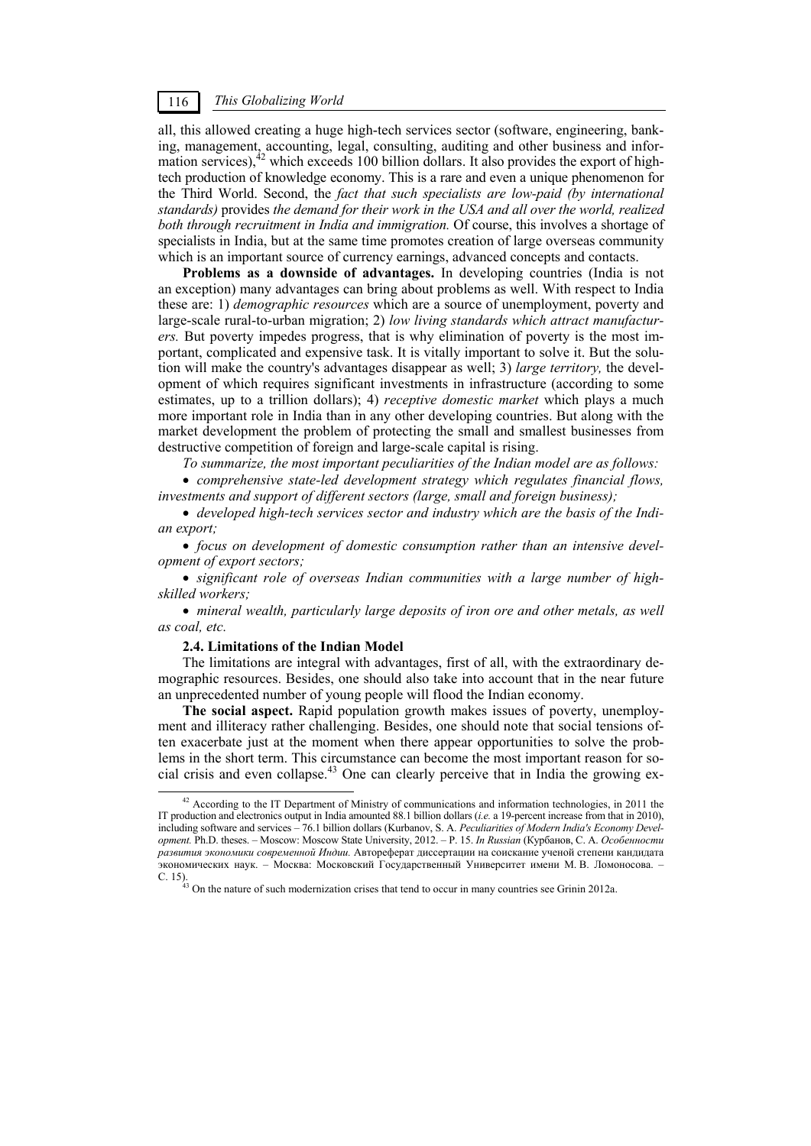all, this allowed creating a huge high-tech services sector (software, engineering, banking, management, accounting, legal, consulting, auditing and other business and information services), $42$  which exceeds 100 billion dollars. It also provides the export of hightech production of knowledge economy. This is a rare and even a unique phenomenon for the Third World. Second, the *fact that such specialists are low-paid (by international standards)* provides *the demand for their work in the USA and all over the world, realized both through recruitment in India and immigration.* Of course, this involves a shortage of specialists in India, but at the same time promotes creation of large overseas community which is an important source of currency earnings, advanced concepts and contacts.

**Problems as a downside of advantages.** In developing countries (India is not an exception) many advantages can bring about problems as well. With respect to India these are: 1) *demographic resources* which are a source of unemployment, poverty and large-scale rural-to-urban migration; 2) *low living standards which attract manufacturers.* But poverty impedes progress, that is why elimination of poverty is the most important, complicated and expensive task. It is vitally important to solve it. But the solution will make the country's advantages disappear as well; 3) *large territory,* the development of which requires significant investments in infrastructure (according to some estimates, up to a trillion dollars); 4) *receptive domestic market* which plays a much more important role in India than in any other developing countries. But along with the market development the problem of protecting the small and smallest businesses from destructive competition of foreign and large-scale capital is rising.

*To summarize, the most important peculiarities of the Indian model are as follows:* 

 *comprehensive state-led development strategy which regulates financial flows, investments and support of different sectors (large, small and foreign business);* 

 *developed high-tech services sector and industry which are the basis of the Indian export;* 

 *focus on development of domestic consumption rather than an intensive development of export sectors;* 

 *significant role of overseas Indian communities with a large number of highskilled workers;* 

 *mineral wealth, particularly large deposits of iron ore and other metals, as well as coal, etc.* 

### **2.4. Limitations of the Indian Model**

The limitations are integral with advantages, first of all, with the extraordinary demographic resources. Besides, one should also take into account that in the near future an unprecedented number of young people will flood the Indian economy.

**The social aspect.** Rapid population growth makes issues of poverty, unemployment and illiteracy rather challenging. Besides, one should note that social tensions often exacerbate just at the moment when there appear opportunities to solve the problems in the short term. This circumstance can become the most important reason for social crisis and even collapse.43 One can clearly perceive that in India the growing ex-

 $42$  According to the IT Department of Ministry of communications and information technologies, in 2011 the IT production and electronics output in India amounted 88.1 billion dollars (*i.e.* a 19-percent increase from that in 2010), including software and services – 76.1 billion dollars (Kurbanov, S. A. *Peculiarities of Modern India's Economy Development.* Ph.D. theses. – Moscow: Moscow State University, 2012. – P. 15. *In Russian* (Курбанов, С. А. *Особенности развития экономики современной Индии.* Автореферат диссертации на соискание ученой степени кандидата экономических наук. – Москва: Московский Государственный Университет имени М. В. Ломоносова. – C. 15). 43 On the nature of such modernization crises that tend to occur in many countries see Grinin 2012a.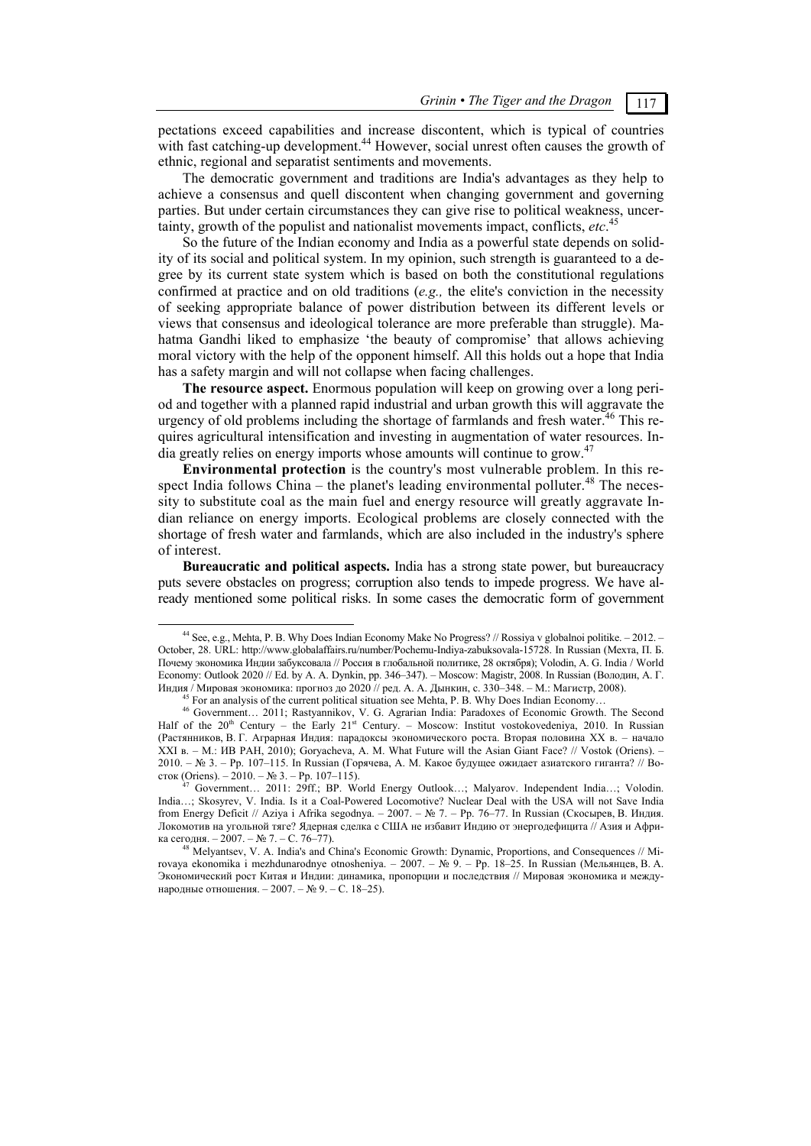pectations exceed capabilities and increase discontent, which is typical of countries with fast catching-up development.<sup>44</sup> However, social unrest often causes the growth of ethnic, regional and separatist sentiments and movements.

The democratic government and traditions are India's advantages as they help to achieve a consensus and quell discontent when changing government and governing parties. But under certain circumstances they can give rise to political weakness, uncertainty, growth of the populist and nationalist movements impact, conflicts, *etc*. 45

So the future of the Indian economy and India as a powerful state depends on solidity of its social and political system. In my opinion, such strength is guaranteed to a degree by its current state system which is based on both the constitutional regulations confirmed at practice and on old traditions (*e.g.,* the elite's conviction in the necessity of seeking appropriate balance of power distribution between its different levels or views that consensus and ideological tolerance are more preferable than struggle). Mahatma Gandhi liked to emphasize 'the beauty of compromise' that allows achieving moral victory with the help of the opponent himself. All this holds out a hope that India has a safety margin and will not collapse when facing challenges.

**The resource aspect.** Enormous population will keep on growing over a long period and together with a planned rapid industrial and urban growth this will aggravate the urgency of old problems including the shortage of farmlands and fresh water. $46$  This requires agricultural intensification and investing in augmentation of water resources. India greatly relies on energy imports whose amounts will continue to grow.<sup>47</sup>

**Environmental protection** is the country's most vulnerable problem. In this respect India follows China – the planet's leading environmental polluter.<sup>48</sup> The necessity to substitute coal as the main fuel and energy resource will greatly aggravate Indian reliance on energy imports. Ecological problems are closely connected with the shortage of fresh water and farmlands, which are also included in the industry's sphere of interest.

**Bureaucratic and political aspects.** India has a strong state power, but bureaucracy puts severe obstacles on progress; corruption also tends to impede progress. We have already mentioned some political risks. In some cases the democratic form of government

 <sup>44</sup> See, e.g., Mehta, P. B. Why Does Indian Economy Make No Progress? // Rossiya v globalnoi politike. – 2012. – October, 28. URL: http://www.globalaffairs.ru/number/Pochemu-Indiya-zabuksovala-15728. In Russian (Мехта, П. Б. Почему экономика Индии забуксовала // Россия в глобальной политике, 28 октября); Volodin, A. G. India / World Economy: Outlook 2020 // Ed. by A. A. Dynkin, pp. 346–347). – Moscow: Magistr, 2008. In Russian (Володин, А. Г. Индия / Мировая экономика: прогноз до 2020 // ред. А. А. Дынкин, с. 330–348. – М.: Магистр, 2008).<br><sup>45</sup> For an analysis of the current political situation see Mehta, P. B. Why Does Indian Economy...<br><sup>46</sup> Government... 201

Half of the 20<sup>th</sup> Century – the Early 21<sup>st</sup> Century. – Moscow: Institut vostokovedeniya, 2010. In Russian (Растянников, В. Г. Аграрная Индия: парадоксы экономического роста. Вторая половина ХХ в. – начало ХХI в. – М.: ИВ РАН, 2010); Goryacheva, A. M. What Future will the Asian Giant Face? // Vostok (Oriens). – 2010. – № 3. – Pp. 107–115. In Russian (Горячева, А. М. Какое будущее ожидает азиатского гиганта? // Восток (Oriens). – 2010. – № 3. – Pp. 107–115). 47 Government… 2011: 29ff.; BP. World Energy Outlook…; Malyarov. Independent India…; Volodin.

India…; Skosyrev, V. India. Is it a Coal-Powered Locomotive? Nuclear Deal with the USA will not Save India from Energy Deficit // Aziya i Afrika segodnya. – 2007. – № 7. – Pp. 76–77. In Russian (Скосырев, В. Индия. Локомотив на угольной тяге? Ядерная сделка с США не избавит Индию от энергодефицита // Азия и Афри-

<sup>&</sup>lt;sup>48</sup> Melyantsev, V. A. India's and China's Economic Growth: Dynamic, Proportions, and Consequences // Mirovaya ekonomika i mezhdunarodnye otnosheniya. – 2007. – № 9. – Pp. 18–25. In Russian (Мельянцев, В. А. Экономический рост Китая и Индии: динамика, пропорции и последствия // Мировая экономика и международные отношения. – 2007. – № 9. – C. 18–25).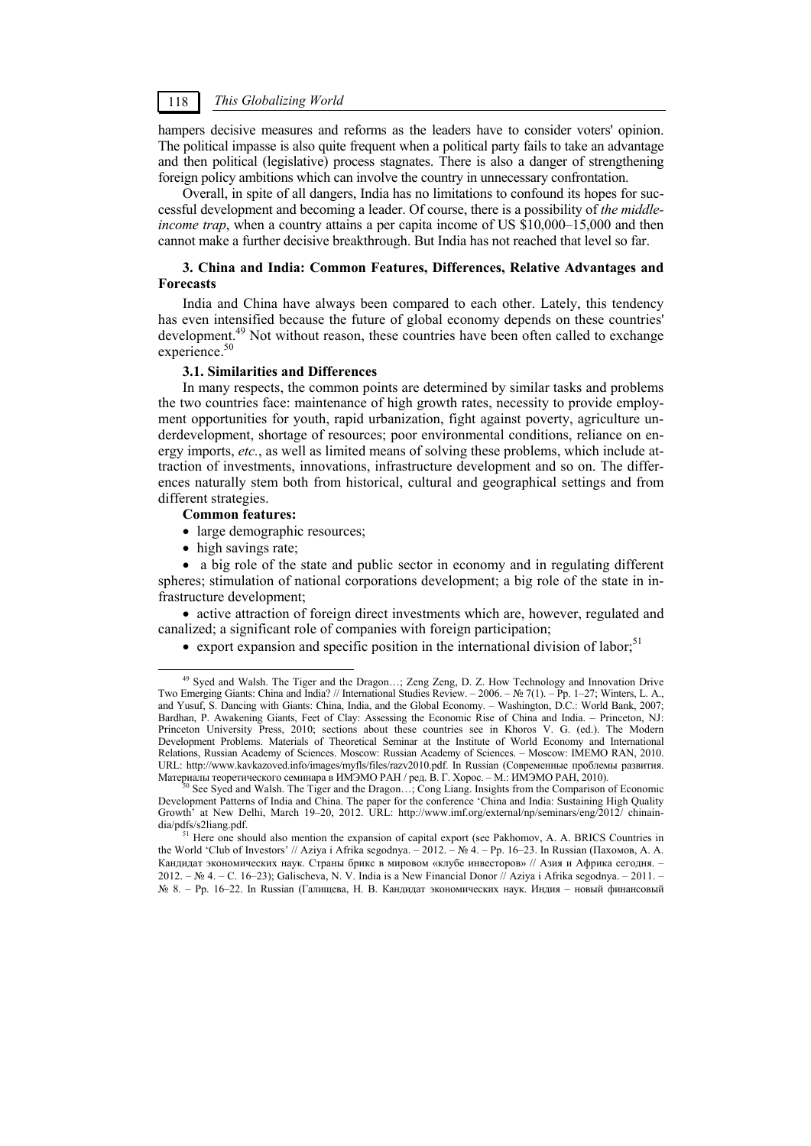hampers decisive measures and reforms as the leaders have to consider voters' opinion. The political impasse is also quite frequent when a political party fails to take an advantage and then political (legislative) process stagnates. There is also a danger of strengthening foreign policy ambitions which can involve the country in unnecessary confrontation.

Overall, in spite of all dangers, India has no limitations to confound its hopes for successful development and becoming a leader. Of course, there is a possibility of *the middleincome trap*, when a country attains a per capita income of US \$10,000–15,000 and then cannot make a further decisive breakthrough. But India has not reached that level so far.

### **3. China and India: Common Features, Differences, Relative Advantages and Forecasts**

India and China have always been compared to each other. Lately, this tendency has even intensified because the future of global economy depends on these countries' development.<sup>49</sup> Not without reason, these countries have been often called to exchange experience.<sup>50</sup>

### **3.1. Similarities and Differences**

In many respects, the common points are determined by similar tasks and problems the two countries face: maintenance of high growth rates, necessity to provide employment opportunities for youth, rapid urbanization, fight against poverty, agriculture underdevelopment, shortage of resources; poor environmental conditions, reliance on energy imports, *etc.*, as well as limited means of solving these problems, which include attraction of investments, innovations, infrastructure development and so on. The differences naturally stem both from historical, cultural and geographical settings and from different strategies.

#### **Common features:**

- large demographic resources;
- high savings rate;

 a big role of the state and public sector in economy and in regulating different spheres; stimulation of national corporations development; a big role of the state in infrastructure development;

• active attraction of foreign direct investments which are, however, regulated and canalized; a significant role of companies with foreign participation;

export expansion and specific position in the international division of labor;<sup>51</sup>

 <sup>49</sup> Syed and Walsh. The Tiger and the Dragon…; Zeng Zeng, D. Z. How Technology and Innovation Drive Two Emerging Giants: China and India? // International Studies Review. – 2006. – № 7(1). – Pp. 1–27; Winters, L. A., and Yusuf, S. Dancing with Giants: China, India, and the Global Economy. – Washington, D.C.: World Bank, 2007; Bardhan, P. Awakening Giants, Feet of Clay: Assessing the Economic Rise of China and India. – Princeton, NJ: Princeton University Press, 2010; sections about these countries see in Khoros V. G. (ed.). The Modern Development Problems. Materials of Theoretical Seminar at the Institute of World Economy and International Relations, Russian Academy of Sciences. Мoscow: Russian Academy of Sciences. – Moscow: IMEMO RAN, 2010. URL: http://www.kavkazoved.info/images/myfls/files/razv2010.pdf. In Russian (Современные проблемы развития. Материалы теоретического семинара в ИМЭМО РАН / ред. В. Г. Хорос. – М.: ИМЭМО РАН, 2010).<br><sup>50</sup> See Syed and Walsh. The Tiger and the Dragon...; Cong Liang. Insights from the Comparison of Economic

Development Patterns of India and China. The paper for the conference 'China and India: Sustaining High Quality Growth' at New Delhi, March 19–20, 2012. URL: http://www.imf.org/external/np/seminars/eng/2012/ chinain-<br>dia/pdfs/s2liang.pdf.

 $<sup>51</sup>$  Here one should also mention the expansion of capital export (see Pakhomov, A. A. BRICS Countries in</sup> the World 'Club of Investors' // Aziya i Afrika segodnya. – 2012. – № 4. – Pp. 16–23. In Russian (Пахомов, А. А. Кандидат экономических наук. Страны брикс в мировом «клубе инвесторов» // Азия и Африка сегодня. – 2012. – № 4. – C. 16–23); Galischeva, N. V. India is a New Financial Donor // Aziya i Afrika segodnya. – 2011. – № 8. – Pp. 16–22. In Russian (Галищева, Н. В. Кандидат экономических наук. Индия – новый финансовый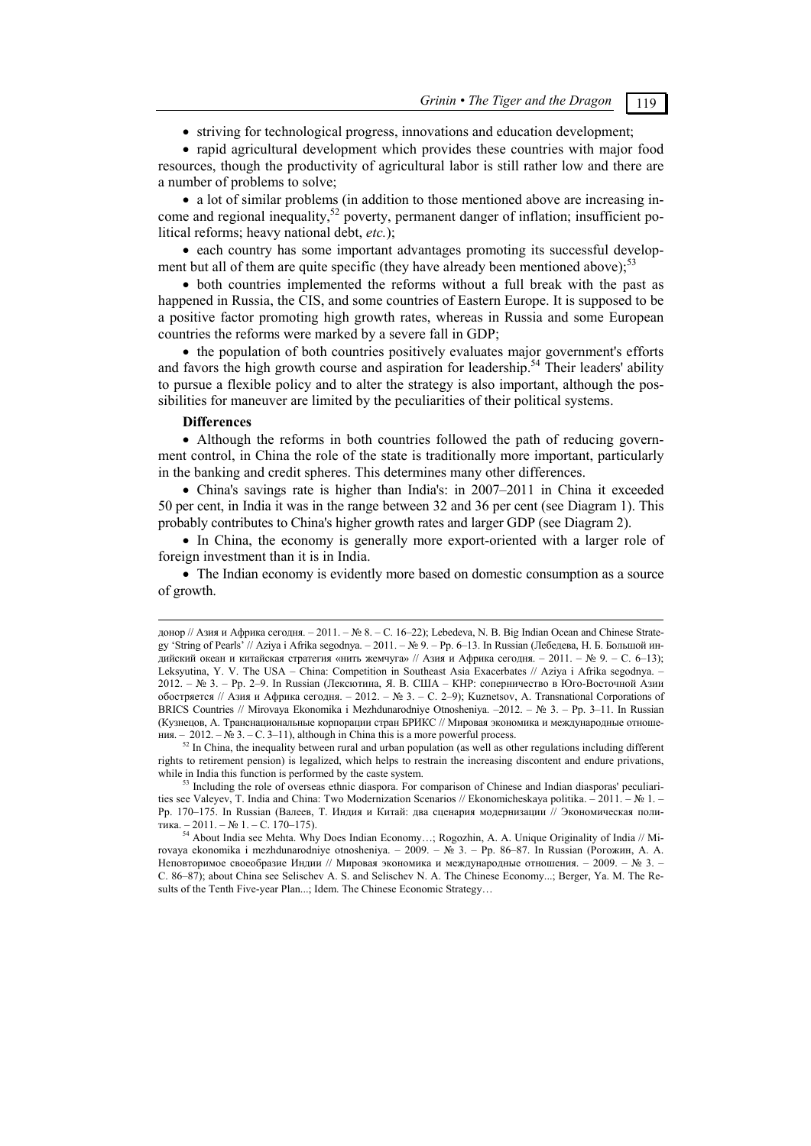• striving for technological progress, innovations and education development;

 rapid agricultural development which provides these countries with major food resources, though the productivity of agricultural labor is still rather low and there are a number of problems to solve;

 a lot of similar problems (in addition to those mentioned above are increasing income and regional inequality,<sup>52</sup> poverty, permanent danger of inflation; insufficient political reforms; heavy national debt, *etc.*);

• each country has some important advantages promoting its successful development but all of them are quite specific (they have already been mentioned above); $^{53}$ 

 both countries implemented the reforms without a full break with the past as happened in Russia, the CIS, and some countries of Eastern Europe. It is supposed to be a positive factor promoting high growth rates, whereas in Russia and some European countries the reforms were marked by a severe fall in GDP;

• the population of both countries positively evaluates major government's efforts and favors the high growth course and aspiration for leadership.<sup>54</sup> Their leaders' ability to pursue a flexible policy and to alter the strategy is also important, although the possibilities for maneuver are limited by the peculiarities of their political systems.

#### **Differences**

1

 Although the reforms in both countries followed the path of reducing government control, in China the role of the state is traditionally more important, particularly in the banking and credit spheres. This determines many other differences.

 China's savings rate is higher than India's: in 2007–2011 in China it exceeded 50 per cent, in India it was in the range between 32 and 36 per cent (see Diagram 1). This probably contributes to China's higher growth rates and larger GDP (see Diagram 2).

 In China, the economy is generally more export-oriented with a larger role of foreign investment than it is in India.

• The Indian economy is evidently more based on domestic consumption as a source of growth.

донор // Азия и Африка сегодня. – 2011. – № 8. – C. 16–22); Lebedeva, N. B. Big Indian Ocean and Chinese Strategy 'String of Pearls' // Aziya i Afrika segodnya. – 2011. – № 9. – Pp. 6–13. In Russian (Лебедева, Н. Б. Большой индийский океан и китайская стратегия «нить жемчуга» // Азия и Африка сегодня. – 2011. – № 9. – C. 6–13); Leksyutina, Y. V. The USA – China: Competition in Southeast Asia Exacerbates // Aziya i Afrika segodnya. – 2012. – № 3. – Pp. 2–9. In Russian (Лексютина, Я. В. США – КНР: соперничество в Юго-Восточной Азии обостряется // Азия и Африка сегодня. – 2012. – № 3. – C. 2–9); Kuznetsov, A. Transnational Corporations of BRICS Countries // Mirovaya Ekonomika i Mezhdunarodniye Otnosheniya. –2012. – № 3. – Pp. 3–11. In Russian (Кузнецов, А. Транснациональные корпорации стран БРИКС // Мировая экономика и международные отноше-<br>ния. - 2012. – № 3. – С. 3–11), although in China this is a more powerful process.

 $\frac{1}{20}$  In China, the inequality between rural and urban population (as well as other regulations including different rights to retirement pension) is legalized, which helps to restrain the increasing discontent and endure privations, while in India this function is performed by the caste system.<br><sup>53</sup> Including the role of overseas ethnic diaspora. For comparison of Chinese and Indian diasporas' peculiari-

ties see Valeyev, T. India and China: Two Modernization Scenarios // Ekonomicheskaya politika. – 2011. – № 1. – Pp. 170–175. In Russian (Валеев, Т. Индия и Китай: два сценария модернизации // Экономическая политика. – 2011. – № 1. – C. 170–175). 54 About India see Mehta. Why Does Indian Economy…; Rogozhin, A. A. Unique Originality of India // Mi-

rovaya ekonomika i mezhdunarodniye otnosheniya. – 2009. – № 3. – Pp. 86–87. In Russian (Рогожин, А. А. Неповторимое своеобразие Индии // Мировая экономика и международные отношения. – 2009. – № 3. – C. 86–87); about China see Selischev A. S. and Selischev N. A. The Chinese Economy...; Berger, Ya. M. The Results of the Tenth Five-year Plan...; Idem. The Chinese Economic Strategy...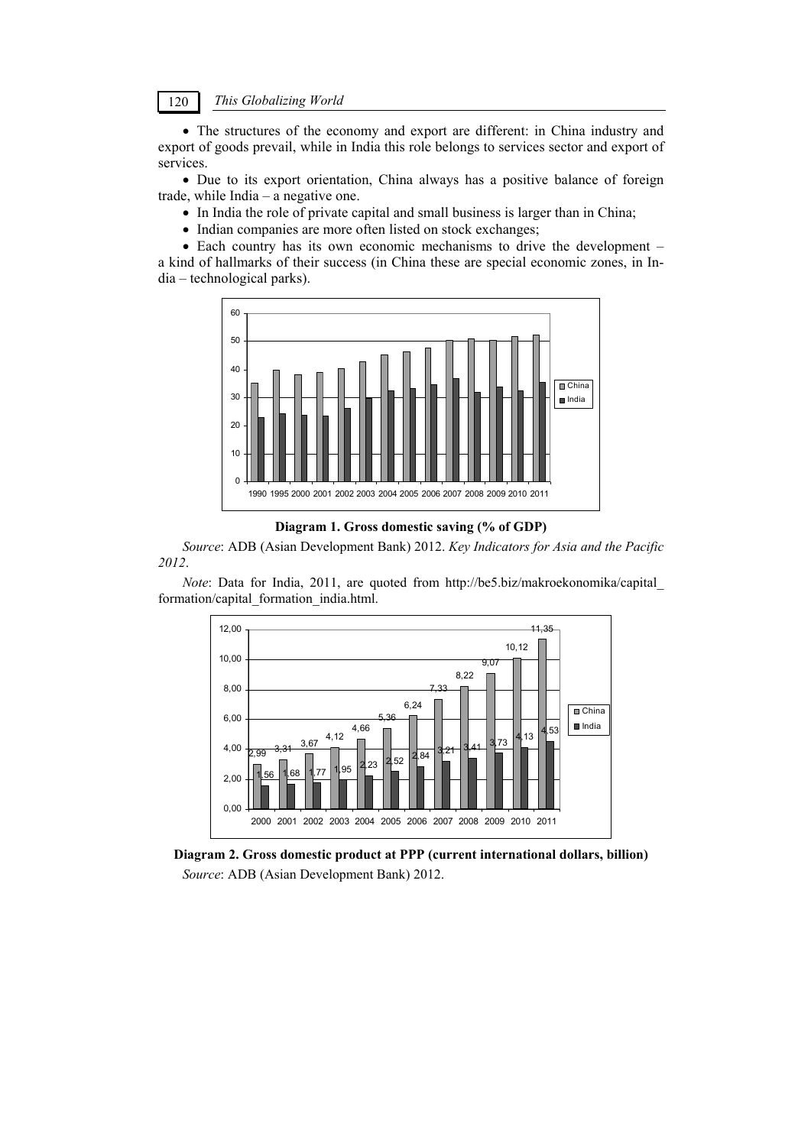The structures of the economy and export are different: in China industry and export of goods prevail, while in India this role belongs to services sector and export of services.

 Due to its export orientation, China always has a positive balance of foreign trade, while India – a negative one.

- In India the role of private capital and small business is larger than in China;
- Indian companies are more often listed on stock exchanges;

• Each country has its own economic mechanisms to drive the development – a kind of hallmarks of their success (in China these are special economic zones, in India – technological parks).



**Diagram 1. Gross domestic saving (% of GDP)** 

*Source*: ADB (Asian Development Bank) 2012. *Key Indicators for Asia and the Pacific 2012*.

*Note*: Data for India, 2011, are quoted from http://be5.biz/makroekonomika/capital formation/capital\_formation\_india.html.



**Diagram 2. Gross domestic product at PPP (current international dollars, billion)**  *Source*: ADB (Asian Development Bank) 2012.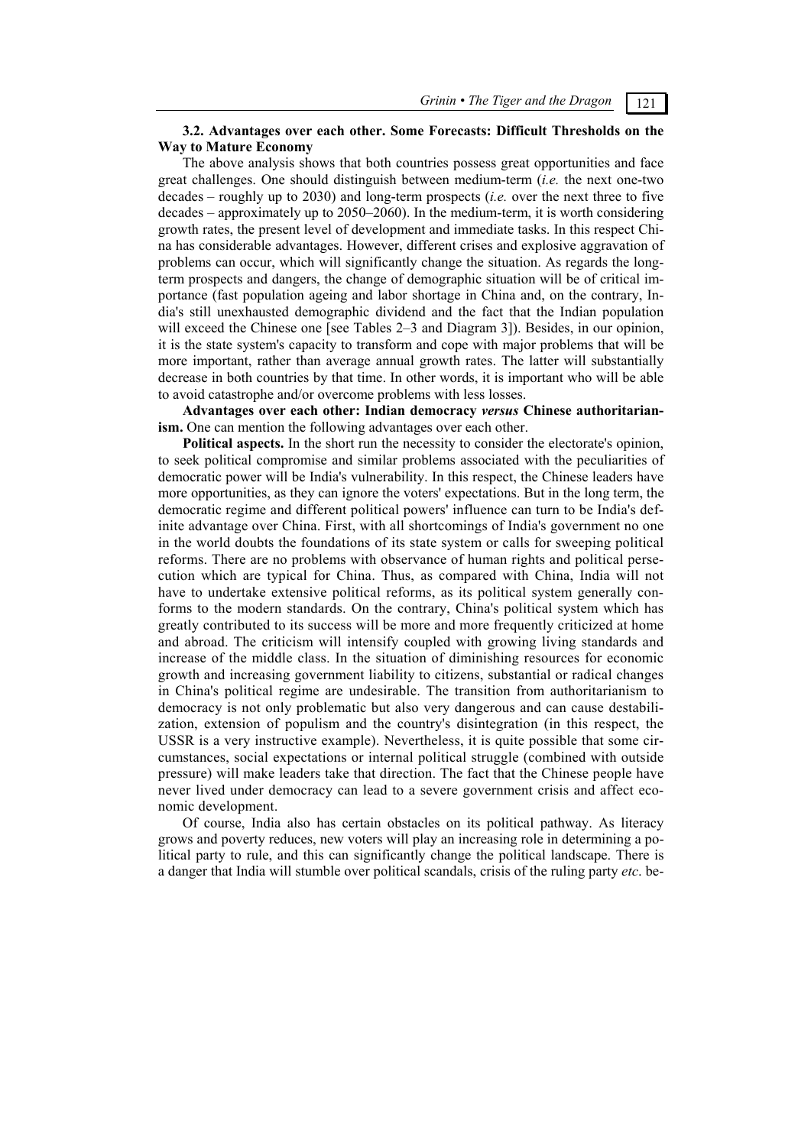## **3.2. Advantages over each other. Some Forecasts: Difficult Thresholds on the Way to Mature Economy**

The above analysis shows that both countries possess great opportunities and face great challenges. One should distinguish between medium-term (*i.e.* the next one-two decades – roughly up to 2030) and long-term prospects (*i.e.* over the next three to five decades – approximately up to 2050–2060). In the medium-term, it is worth considering growth rates, the present level of development and immediate tasks. In this respect China has considerable advantages. However, different crises and explosive aggravation of problems can occur, which will significantly change the situation. As regards the longterm prospects and dangers, the change of demographic situation will be of critical importance (fast population ageing and labor shortage in China and, on the contrary, India's still unexhausted demographic dividend and the fact that the Indian population will exceed the Chinese one [see Tables 2–3 and Diagram 3]). Besides, in our opinion, it is the state system's capacity to transform and cope with major problems that will be more important, rather than average annual growth rates. The latter will substantially decrease in both countries by that time. In other words, it is important who will be able to avoid catastrophe and/or overcome problems with less losses.

**Advantages over each other: Indian democracy** *versus* **Chinese authoritarianism.** One can mention the following advantages over each other.

**Political aspects.** In the short run the necessity to consider the electorate's opinion, to seek political compromise and similar problems associated with the peculiarities of democratic power will be India's vulnerability. In this respect, the Chinese leaders have more opportunities, as they can ignore the voters' expectations. But in the long term, the democratic regime and different political powers' influence can turn to be India's definite advantage over China. First, with all shortcomings of India's government no one in the world doubts the foundations of its state system or calls for sweeping political reforms. There are no problems with observance of human rights and political persecution which are typical for China. Thus, as compared with China, India will not have to undertake extensive political reforms, as its political system generally conforms to the modern standards. On the contrary, China's political system which has greatly contributed to its success will be more and more frequently criticized at home and abroad. The criticism will intensify coupled with growing living standards and increase of the middle class. In the situation of diminishing resources for economic growth and increasing government liability to citizens, substantial or radical changes in China's political regime are undesirable. The transition from authoritarianism to democracy is not only problematic but also very dangerous and can cause destabilization, extension of populism and the country's disintegration (in this respect, the USSR is a very instructive example). Nevertheless, it is quite possible that some circumstances, social expectations or internal political struggle (combined with outside pressure) will make leaders take that direction. The fact that the Chinese people have never lived under democracy can lead to a severe government crisis and affect economic development.

Of course, India also has certain obstacles on its political pathway. As literacy grows and poverty reduces, new voters will play an increasing role in determining a political party to rule, and this can significantly change the political landscape. There is a danger that India will stumble over political scandals, crisis of the ruling party *etc*. be-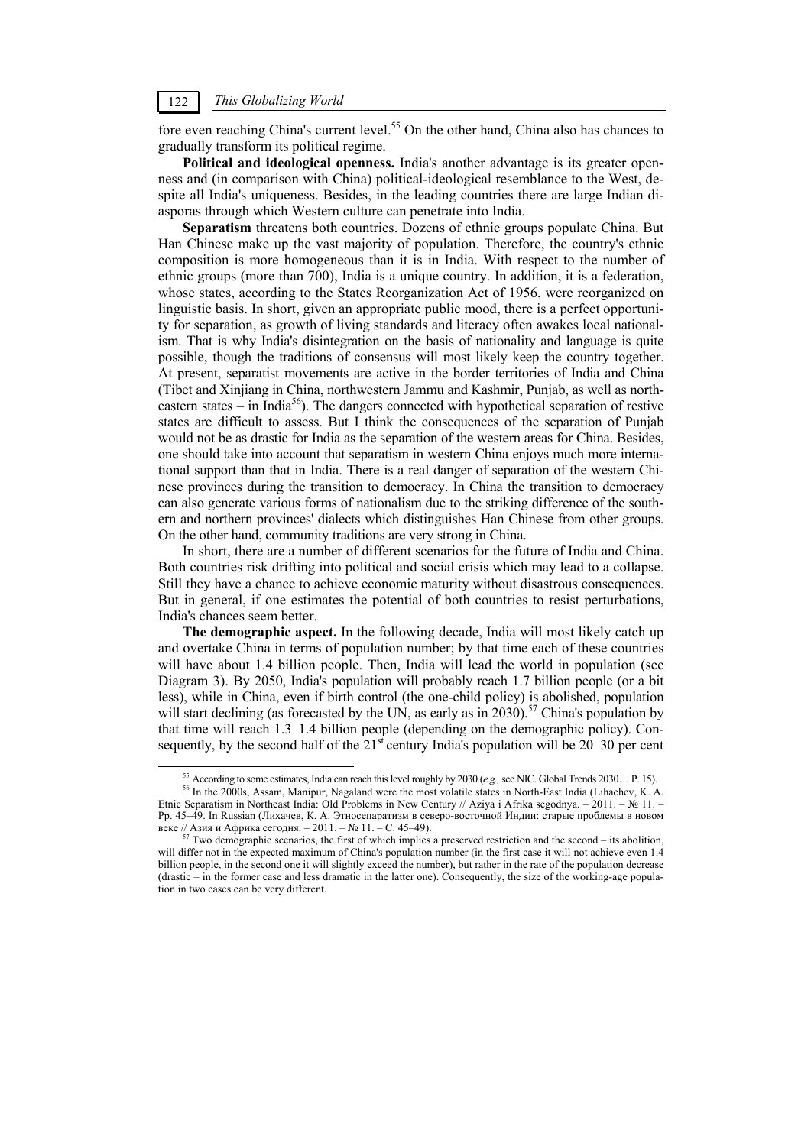fore even reaching China's current level.<sup>55</sup> On the other hand, China also has chances to gradually transform its political regime.

**Political and ideological openness.** India's another advantage is its greater openness and (in comparison with China) political-ideological resemblance to the West, despite all India's uniqueness. Besides, in the leading countries there are large Indian diasporas through which Western culture can penetrate into India.

**Separatism** threatens both countries. Dozens of ethnic groups populate China. But Han Chinese make up the vast majority of population. Therefore, the country's ethnic composition is more homogeneous than it is in India. With respect to the number of ethnic groups (more than 700), India is a unique country. In addition, it is a federation, whose states, according to the States Reorganization Act of 1956, were reorganized on linguistic basis. In short, given an appropriate public mood, there is a perfect opportunity for separation, as growth of living standards and literacy often awakes local nationalism. That is why India's disintegration on the basis of nationality and language is quite possible, though the traditions of consensus will most likely keep the country together. At present, separatist movements are active in the border territories of India and China (Tibet and Xinjiang in China, northwestern Jammu and Kashmir, Punjab, as well as northeastern states – in India<sup>56</sup>). The dangers connected with hypothetical separation of restive states are difficult to assess. But I think the consequences of the separation of Punjab would not be as drastic for India as the separation of the western areas for China. Besides, one should take into account that separatism in western China enjoys much more international support than that in India. There is a real danger of separation of the western Chinese provinces during the transition to democracy. In China the transition to democracy can also generate various forms of nationalism due to the striking difference of the southern and northern provinces' dialects which distinguishes Han Chinese from other groups. On the other hand, community traditions are very strong in China.

In short, there are a number of different scenarios for the future of India and China. Both countries risk drifting into political and social crisis which may lead to a collapse. Still they have a chance to achieve economic maturity without disastrous consequences. But in general, if one estimates the potential of both countries to resist perturbations, India's chances seem better.

**The demographic aspect.** In the following decade, India will most likely catch up and overtake China in terms of population number; by that time each of these countries will have about 1.4 billion people. Then, India will lead the world in population (see Diagram 3). By 2050, India's population will probably reach 1.7 billion people (or a bit less), while in China, even if birth control (the one-child policy) is abolished, population will start declining (as forecasted by the UN, as early as in 2030).<sup>57</sup> China's population by that time will reach 1.3–1.4 billion people (depending on the demographic policy). Consequently, by the second half of the  $21<sup>st</sup>$  century India's population will be 20–30 per cent

<sup>&</sup>lt;sup>55</sup> According to some estimates, India can reach this level roughly by 2030 (e.g., see NIC. Global Trends 2030... P. 15).<br><sup>56</sup> In the 2000s, Assam, Manipur, Nagaland were the most volatile states in North-East India (Lih Etnic Separatism in Northeast India: Old Problems in New Century // Aziya i Afrika segodnya. – 2011. – № 11. – Pp. 45–49. In Russian (Лихачев, К. А. Этносепаратизм в северо-восточной Индии: старые проблемы в новом

Two demographic scenarios, the first of which implies a preserved restriction and the second – its abolition, will differ not in the expected maximum of China's population number (in the first case it will not achieve even 1.4 billion people, in the second one it will slightly exceed the number), but rather in the rate of the population decrease (drastic – in the former case and less dramatic in the latter one). Consequently, the size of the working-age population in two cases can be very different.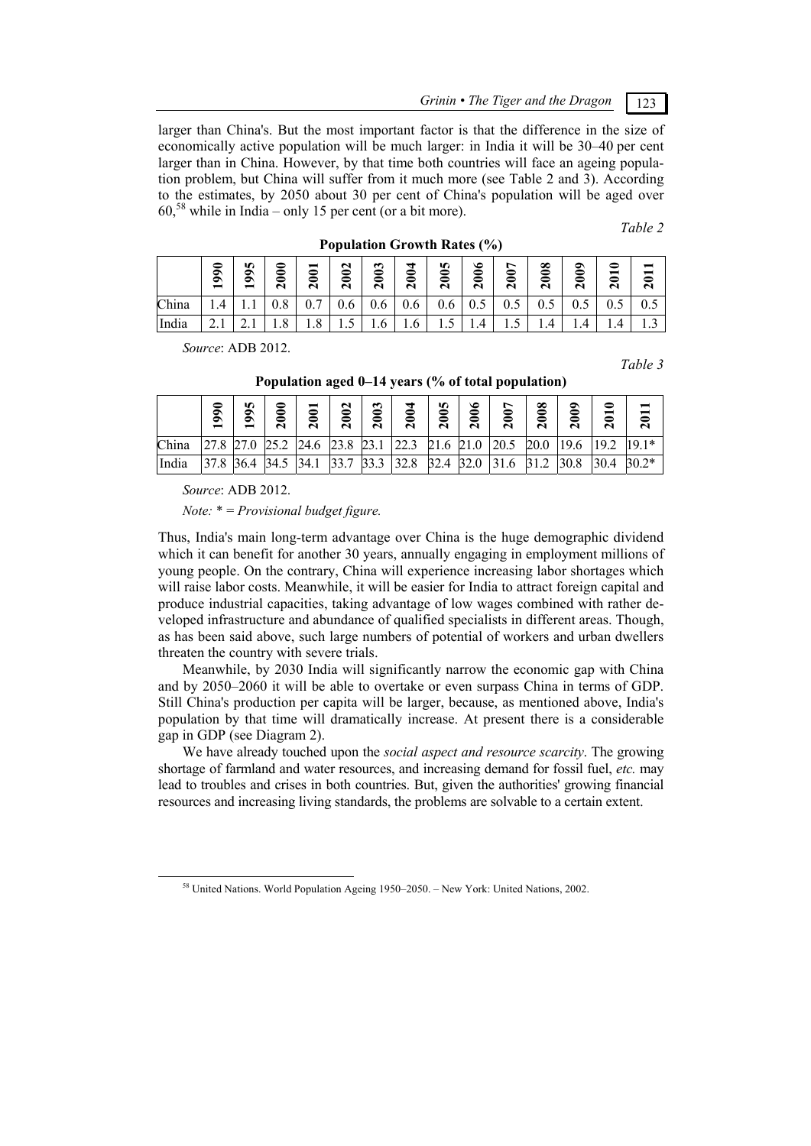*Grinin • The Tiger and the Dragon* 123

larger than China's. But the most important factor is that the difference in the size of economically active population will be much larger: in India it will be 30–40 per cent larger than in China. However, by that time both countries will face an ageing population problem, but China will suffer from it much more (see Table 2 and 3). According to the estimates, by 2050 about 30 per cent of China's population will be aged over  $60<sup>58</sup>$  while in India – only 15 per cent (or a bit more).

*Table 2* 

|       | ╺<br>๑<br>− | 5<br>๑<br>๑<br>− | ◒<br>0<br>N     | $\mathbf{\mathsf{N}}$ | $\approx$<br>$\mathbf{\sim}$ | ొ<br>ຣ<br>N | ↤<br>ຣ<br>$\mathbf{\tilde{c}}$ | ю<br>0<br>0<br>N | ७<br>0<br>$\mathbf{\mathsf{N}}$ | ∼<br>0<br>N | ∞<br>≏<br>0<br>N | ๑<br>0<br>≏<br>N | —<br>$\mathbf{\mathsf{N}}$ | N   |
|-------|-------------|------------------|-----------------|-----------------------|------------------------------|-------------|--------------------------------|------------------|---------------------------------|-------------|------------------|------------------|----------------------------|-----|
| China | 4           |                  | 0.8             | 0.7                   | 0.6                          | 0.6         | 0.6                            | 0.6              | 0.5                             | 0.5         | 0.5              | U.J              | U.J                        | 0.5 |
| India | 2. L        | .                | $\Omega$<br>1.0 | $\Omega$<br>1.0       | $\cdot$                      | 1.0         | 1.6                            | ⊥.J              | 1.4                             | ⊥.J         | 4<br>.           | 4<br>.           | 4                          | .   |

**Population Growth Rates (%)** 

*Source*: ADB 2012.

*Table 3* 

|       | $\bar{9}$ | n<br>๑<br>Ò | 3<br>$\mathbf{\tilde{c}}$ | ∽<br>N | $\mathbf{\mathsf{N}}$<br>3<br>$\mathbf{\mathbf{a}}$ | ∾<br>ຣ<br>$\mathbf{\tilde{c}}$ | ┭<br>0<br>$\mathbf{\mathbf{a}}$ | n<br>౾<br>N | ∘<br>0<br>$\mathbf{\mathsf{N}}$ | ∼<br>ຣ<br>N | ∞<br>Ë<br>N | ๑<br>Š<br>$\mathbf{r}$ | Ξ<br>$\mathbf{\sim}$ | $\mathbf{\sim}$ |
|-------|-----------|-------------|---------------------------|--------|-----------------------------------------------------|--------------------------------|---------------------------------|-------------|---------------------------------|-------------|-------------|------------------------|----------------------|-----------------|
| China |           | 27.0        | 25.2                      | 24.6   | 23.8                                                | 23.1                           | 22.3                            | 21.6        | 21.0                            | 20.5        | 20.0        |                        | 19.2                 | $19.1*$         |
| India | 37.8      | 36.4        | 34.5                      | 34.1   | 227<br>33.1                                         | 33.3                           | 32.8                            | 32.4        | 32.0                            | 31.6        | 31.2        | 30.8                   | 30.4                 | $30.2*$         |

**Population aged 0–14 years (% of total population)** 

*Source*: ADB 2012.

*Note:* \* = *Provisional budget figure.* 

Thus, India's main long-term advantage over China is the huge demographic dividend which it can benefit for another 30 years, annually engaging in employment millions of young people. On the contrary, China will experience increasing labor shortages which will raise labor costs. Meanwhile, it will be easier for India to attract foreign capital and produce industrial capacities, taking advantage of low wages combined with rather developed infrastructure and abundance of qualified specialists in different areas. Though, as has been said above, such large numbers of potential of workers and urban dwellers threaten the country with severe trials.

Meanwhile, by 2030 India will significantly narrow the economic gap with China and by 2050–2060 it will be able to overtake or even surpass China in terms of GDP. Still China's production per capita will be larger, because, as mentioned above, India's population by that time will dramatically increase. At present there is a considerable gap in GDP (see Diagram 2).

We have already touched upon the *social aspect and resource scarcity*. The growing shortage of farmland and water resources, and increasing demand for fossil fuel, *etc.* may lead to troubles and crises in both countries. But, given the authorities' growing financial resources and increasing living standards, the problems are solvable to a certain extent.

<sup>&</sup>lt;sup>58</sup> United Nations. World Population Ageing 1950–2050. – New York: United Nations, 2002.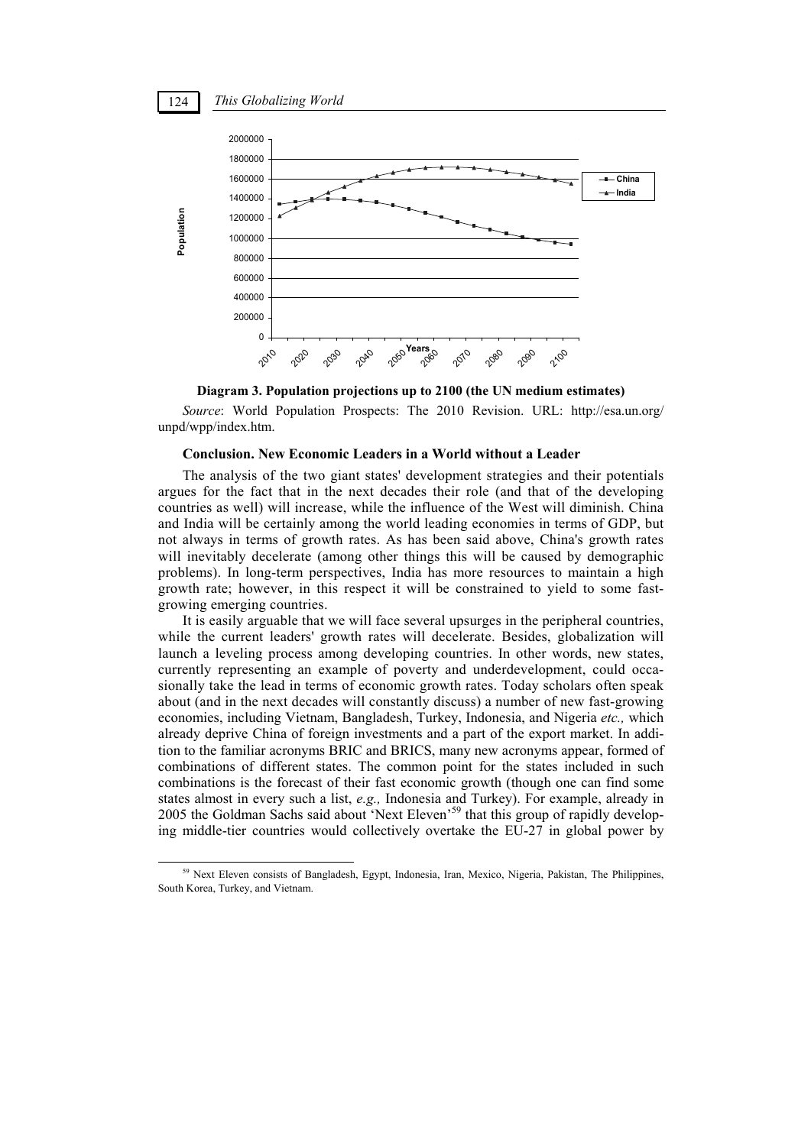

**Diagram 3. Population projections up to 2100 (the UN medium estimates)** 

*Source*: World Population Prospects: The 2010 Revision. URL: http://esa.un.org/ unpd/wpp/index.htm.

### **Conclusion. New Economic Leaders in a World without a Leader**

The analysis of the two giant states' development strategies and their potentials argues for the fact that in the next decades their role (and that of the developing countries as well) will increase, while the influence of the West will diminish. China and India will be certainly among the world leading economies in terms of GDP, but not always in terms of growth rates. As has been said above, China's growth rates will inevitably decelerate (among other things this will be caused by demographic problems). In long-term perspectives, India has more resources to maintain a high growth rate; however, in this respect it will be constrained to yield to some fastgrowing emerging countries.

It is easily arguable that we will face several upsurges in the peripheral countries, while the current leaders' growth rates will decelerate. Besides, globalization will launch a leveling process among developing countries. In other words, new states, currently representing an example of poverty and underdevelopment, could occasionally take the lead in terms of economic growth rates. Today scholars often speak about (and in the next decades will constantly discuss) a number of new fast-growing economies, including Vietnam, Bangladesh, Turkey, Indonesia, and Nigeria *etc.,* which already deprive China of foreign investments and a part of the export market. In addition to the familiar acronyms BRIC and BRICS, many new acronyms appear, formed of combinations of different states. The common point for the states included in such combinations is the forecast of their fast economic growth (though one can find some states almost in every such a list, *e.g.,* Indonesia and Turkey). For example, already in 2005 the Goldman Sachs said about 'Next Eleven'59 that this group of rapidly developing middle-tier countries would collectively overtake the EU-27 in global power by

<sup>&</sup>lt;sup>59</sup> Next Eleven consists of Bangladesh, Egypt, Indonesia, Iran, Mexico, Nigeria, Pakistan, The Philippines, South Korea, Turkey, and Vietnam.